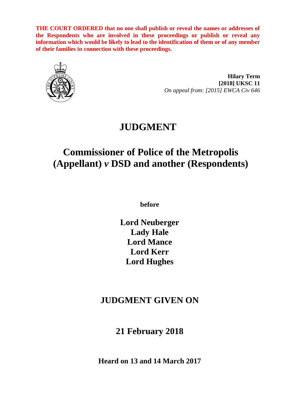**THE COURT ORDERED that no one shall publish or reveal the names or addresses of the Respondents who are involved in these proceedings or publish or reveal any information which would be likely to lead to the identification of them or of any member of their families in connection with these proceedings.**



**Hilary Term [2018] UKSC 11** *On appeal from: [2015] EWCA Civ 646*

# **JUDGMENT**

# **Commissioner of Police of the Metropolis (Appellant)** *v* **DSD and another (Respondents)**

**before** 

**Lord Neuberger Lady Hale Lord Mance Lord Kerr Lord Hughes**

# **JUDGMENT GIVEN ON**

**21 February 2018**

**Heard on 13 and 14 March 2017**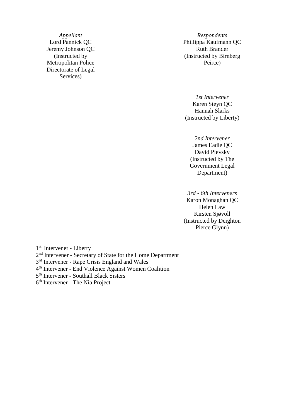Jeremy Johnson QC Ruth Brander (Instructed by Metropolitan Police Directorate of Legal Services)

*Appellant Respondents* Lord Pannick QC Phillippa Kaufmann QC (Instructed by Birnberg Peirce)

> *1st Intervener* Karen Steyn QC Hannah Slarks (Instructed by Liberty)

*2nd Intervener* James Eadie QC David Pievsky (Instructed by The Government Legal Department)

*3rd - 6th Interveners* 

Karon Monaghan QC Helen Law Kirsten Sjøvoll (Instructed by Deighton Pierce Glynn)

1<sup>st</sup> Intervener - Liberty

2<sup>nd</sup> Intervener - Secretary of State for the Home Department

3<sup>rd</sup> Intervener - Rape Crisis England and Wales

4 th Intervener - End Violence Against Women Coalition

5<sup>th</sup> Intervener - Southall Black Sisters

6 th Intervener - The Nia Project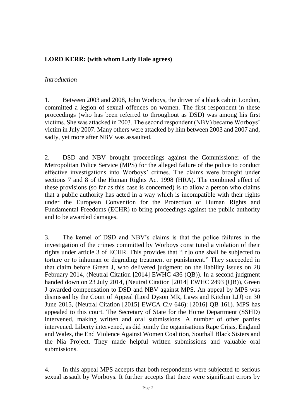# **LORD KERR: (with whom Lady Hale agrees)**

#### *Introduction*

1. Between 2003 and 2008, John Worboys, the driver of a black cab in London, committed a legion of sexual offences on women. The first respondent in these proceedings (who has been referred to throughout as DSD) was among his first victims. She was attacked in 2003. The second respondent (NBV) became Worboys' victim in July 2007. Many others were attacked by him between 2003 and 2007 and, sadly, yet more after NBV was assaulted.

2. DSD and NBV brought proceedings against the Commissioner of the Metropolitan Police Service (MPS) for the alleged failure of the police to conduct effective investigations into Worboys' crimes. The claims were brought under sections 7 and 8 of the Human Rights Act 1998 (HRA). The combined effect of these provisions (so far as this case is concerned) is to allow a person who claims that a public authority has acted in a way which is incompatible with their rights under the European Convention for the Protection of Human Rights and Fundamental Freedoms (ECHR) to bring proceedings against the public authority and to be awarded damages.

3. The kernel of DSD and NBV's claims is that the police failures in the investigation of the crimes committed by Worboys constituted a violation of their rights under article 3 of ECHR. This provides that "[n]o one shall be subjected to torture or to inhuman or degrading treatment or punishment." They succeeded in that claim before Green J, who delivered judgment on the liability issues on 28 February 2014, (Neutral Citation [2014] EWHC 436 (QB)). In a second judgment handed down on 23 July 2014, (Neutral Citation [2014] EWHC 2493 (QB)), Green J awarded compensation to DSD and NBV against MPS. An appeal by MPS was dismissed by the Court of Appeal (Lord Dyson MR, Laws and Kitchin LJJ) on 30 June 2015, (Neutral Citation [2015] EWCA Civ 646): [2016] QB 161). MPS has appealed to this court. The Secretary of State for the Home Department (SSHD) intervened, making written and oral submissions. A number of other parties intervened. Liberty intervened, as did jointly the organisations Rape Crisis, England and Wales, the End Violence Against Women Coalition, Southall Black Sisters and the Nia Project. They made helpful written submissions and valuable oral submissions.

4. In this appeal MPS accepts that both respondents were subjected to serious sexual assault by Worboys. It further accepts that there were significant errors by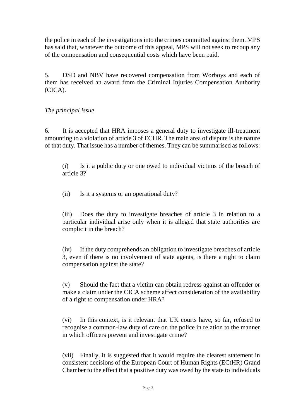the police in each of the investigations into the crimes committed against them. MPS has said that, whatever the outcome of this appeal, MPS will not seek to recoup any of the compensation and consequential costs which have been paid.

5. DSD and NBV have recovered compensation from Worboys and each of them has received an award from the Criminal Injuries Compensation Authority (CICA).

# *The principal issue*

6. It is accepted that HRA imposes a general duty to investigate ill-treatment amounting to a violation of article 3 of ECHR. The main area of dispute is the nature of that duty. That issue has a number of themes. They can be summarised as follows:

(i) Is it a public duty or one owed to individual victims of the breach of article 3?

(ii) Is it a systems or an operational duty?

(iii) Does the duty to investigate breaches of article 3 in relation to a particular individual arise only when it is alleged that state authorities are complicit in the breach?

(iv) If the duty comprehends an obligation to investigate breaches of article 3, even if there is no involvement of state agents, is there a right to claim compensation against the state?

(v) Should the fact that a victim can obtain redress against an offender or make a claim under the CICA scheme affect consideration of the availability of a right to compensation under HRA?

(vi) In this context, is it relevant that UK courts have, so far, refused to recognise a common-law duty of care on the police in relation to the manner in which officers prevent and investigate crime?

(vii) Finally, it is suggested that it would require the clearest statement in consistent decisions of the European Court of Human Rights (ECtHR) Grand Chamber to the effect that a positive duty was owed by the state to individuals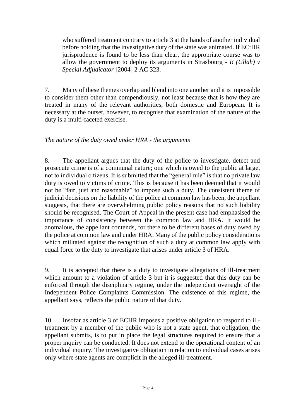who suffered treatment contrary to article 3 at the hands of another individual before holding that the investigative duty of the state was animated. If ECtHR jurisprudence is found to be less than clear, the appropriate course was to allow the government to deploy its arguments in Strasbourg - *R (Ullah) v Special Adjudicator* [2004] 2 AC 323.

7. Many of these themes overlap and blend into one another and it is impossible to consider them other than compendiously, not least because that is how they are treated in many of the relevant authorities, both domestic and European. It is necessary at the outset, however, to recognise that examination of the nature of the duty is a multi-faceted exercise.

# *The nature of the duty owed under HRA - the arguments*

8. The appellant argues that the duty of the police to investigate, detect and prosecute crime is of a communal nature; one which is owed to the public at large, not to individual citizens. It is submitted that the "general rule" is that no private law duty is owed to victims of crime. This is because it has been deemed that it would not be "fair, just and reasonable" to impose such a duty. The consistent theme of judicial decisions on the liability of the police at common law has been, the appellant suggests, that there are overwhelming public policy reasons that no such liability should be recognised. The Court of Appeal in the present case had emphasised the importance of consistency between the common law and HRA. It would be anomalous, the appellant contends, for there to be different bases of duty owed by the police at common law and under HRA. Many of the public policy considerations which militated against the recognition of such a duty at common law apply with equal force to the duty to investigate that arises under article 3 of HRA.

9. It is accepted that there is a duty to investigate allegations of ill-treatment which amount to a violation of article 3 but it is suggested that this duty can be enforced through the disciplinary regime, under the independent oversight of the Independent Police Complaints Commission. The existence of this regime, the appellant says, reflects the public nature of that duty.

10. Insofar as article 3 of ECHR imposes a positive obligation to respond to illtreatment by a member of the public who is not a state agent, that obligation, the appellant submits, is to put in place the legal structures required to ensure that a proper inquiry can be conducted. It does not extend to the operational content of an individual inquiry. The investigative obligation in relation to individual cases arises only where state agents are complicit in the alleged ill-treatment.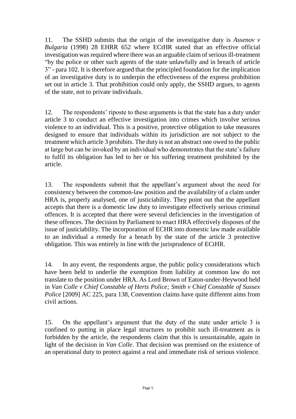11. The SSHD submits that the origin of the investigative duty is *Assenov v Bulgaria* (1998) 28 EHRR 652 where ECtHR stated that an effective official investigation was required where there was an arguable claim of serious ill-treatment "by the police or other such agents of the state unlawfully and in breach of article 3" - para 102. It is therefore argued that the principled foundation for the implication of an investigative duty is to underpin the effectiveness of the express prohibition set out in article 3. That prohibition could only apply, the SSHD argues, to agents of the state, not to private individuals.

12. The respondents' riposte to these arguments is that the state has a duty under article 3 to conduct an effective investigation into crimes which involve serious violence to an individual. This is a positive, protective obligation to take measures designed to ensure that individuals within its jurisdiction are not subject to the treatment which article 3 prohibits. The duty is not an abstract one owed to the public at large but can be invoked by an individual who demonstrates that the state's failure to fulfil its obligation has led to her or his suffering treatment prohibited by the article.

13. The respondents submit that the appellant's argument about the need for consistency between the common-law position and the availability of a claim under HRA is, properly analysed, one of justiciability. They point out that the appellant accepts that there is a domestic law duty to investigate effectively serious criminal offences. It is accepted that there were several deficiencies in the investigation of these offences. The decision by Parliament to enact HRA effectively disposes of the issue of justiciability. The incorporation of ECHR into domestic law made available to an individual a remedy for a breach by the state of the article 3 protective obligation. This was entirely in line with the jurisprudence of ECtHR.

14. In any event, the respondents argue, the public policy considerations which have been held to underlie the exemption from liability at common law do not translate to the position under HRA. As Lord Brown of Eaton-under-Heywood held in *Van Colle v Chief Constable of Herts Police; Smith v Chief Constable of Sussex Police* [2009] AC 225, para 138, Convention claims have quite different aims from civil actions.

15. On the appellant's argument that the duty of the state under article 3 is confined to putting in place legal structures to prohibit such ill-treatment as is forbidden by the article, the respondents claim that this is unsustainable, again in light of the decision in *Van Colle*. That decision was premised on the existence of an operational duty to protect against a real and immediate risk of serious violence.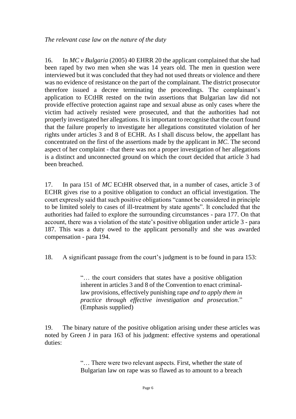16. In *MC v Bulgaria* (2005) 40 EHRR 20 the applicant complained that she had been raped by two men when she was 14 years old. The men in question were interviewed but it was concluded that they had not used threats or violence and there was no evidence of resistance on the part of the complainant. The district prosecutor therefore issued a decree terminating the proceedings. The complainant's application to ECtHR rested on the twin assertions that Bulgarian law did not provide effective protection against rape and sexual abuse as only cases where the victim had actively resisted were prosecuted, and that the authorities had not properly investigated her allegations. It is important to recognise that the court found that the failure properly to investigate her allegations constituted violation of her rights under articles 3 and 8 of ECHR. As I shall discuss below, the appellant has concentrated on the first of the assertions made by the applicant in *MC*. The second aspect of her complaint - that there was not a proper investigation of her allegations is a distinct and unconnected ground on which the court decided that article 3 had been breached.

17. In para 151 of *MC* ECtHR observed that, in a number of cases, article 3 of ECHR gives rise to a positive obligation to conduct an official investigation. The court expressly said that such positive obligations "cannot be considered in principle to be limited solely to cases of ill-treatment by state agents". It concluded that the authorities had failed to explore the surrounding circumstances - para 177. On that account, there was a violation of the state's positive obligation under article 3 - para 187. This was a duty owed to the applicant personally and she was awarded compensation - para 194.

18. A significant passage from the court's judgment is to be found in para 153:

"… the court considers that states have a positive obligation inherent in articles 3 and 8 of the Convention to enact criminallaw provisions, effectively punishing rape *and to apply them in practice through effective investigation and prosecution*." (Emphasis supplied)

19. The binary nature of the positive obligation arising under these articles was noted by Green J in para 163 of his judgment: effective systems and operational duties:

> "… There were two relevant aspects. First, whether the state of Bulgarian law on rape was so flawed as to amount to a breach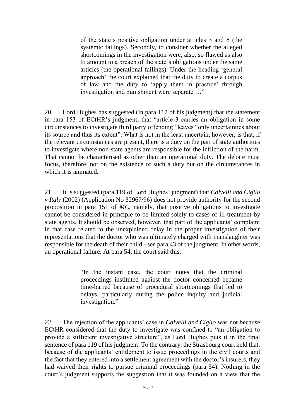of the state's positive obligation under articles 3 and 8 (the systemic failings). Secondly, to consider whether the alleged shortcomings in the investigation were, also, so flawed as also to amount to a breach of the state's obligations under the same articles (the operational failings). Under the heading 'general approach' the court explained that the duty to create a corpus of law and the duty to 'apply them in practice' through investigation and punishment were separate …"

20. Lord Hughes has suggested (in para 117 of his judgment) that the statement in para 153 of ECtHR's judgment, that "article 3 carries an obligation in some circumstances to investigate third party offending" leaves "only uncertainties about its source and thus its extent". What is not in the least uncertain, however, is that, if the relevant circumstances are present, there is a duty on the part of state authorities to investigate where non-state agents are responsible for the infliction of the harm. That cannot be characterised as other than an operational duty. The debate must focus, therefore, not on the existence of such a duty but on the circumstances in which it is animated.

21. It is suggested (para 119 of Lord Hughes' judgment) that *Calvelli and Ciglio v Italy* (2002) (Application No 32967/96) does not provide authority for the second proposition in para 151 of *MC,* namely, that positive obligations to investigate cannot be considered in principle to be limited solely to cases of ill-treatment by state agents. It should be observed, however, that part of the applicants' complaint in that case related to the unexplained delay in the proper investigation of their representations that the doctor who was ultimately charged with manslaughter was responsible for the death of their child - see para 43 of the judgment. In other words, an operational failure. At para 54, the court said this:

> "In the instant case, the court notes that the criminal proceedings instituted against the doctor concerned became time-barred because of procedural shortcomings that led to delays, particularly during the police inquiry and judicial investigation."

22. The rejection of the applicants' case in *Calvelli and Ciglio* was not because ECtHR considered that the duty to investigate was confined to "an obligation to provide a sufficient investigative structure", as Lord Hughes puts it in the final sentence of para 119 of his judgment. To the contrary, the Strasbourg court held that, because of the applicants' entitlement to issue proceedings in the civil courts and the fact that they entered into a settlement agreement with the doctor's insurers, they had waived their rights to pursue criminal proceedings (para 54). Nothing in the court's judgment supports the suggestion that it was founded on a view that the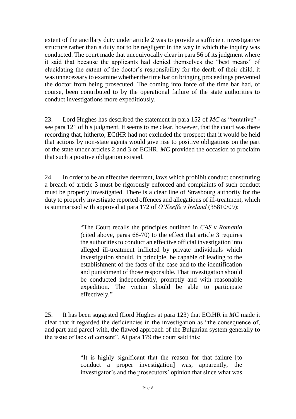extent of the ancillary duty under article 2 was to provide a sufficient investigative structure rather than a duty not to be negligent in the way in which the inquiry was conducted. The court made that unequivocally clear in para 56 of its judgment where it said that because the applicants had denied themselves the "best means" of elucidating the extent of the doctor's responsibility for the death of their child, it was unnecessary to examine whether the time bar on bringing proceedings prevented the doctor from being prosecuted. The coming into force of the time bar had, of course, been contributed to by the operational failure of the state authorities to conduct investigations more expeditiously.

23. Lord Hughes has described the statement in para 152 of *MC* as "tentative" see para 121 of his judgment. It seems to me clear, however, that the court was there recording that, hitherto, ECtHR had not excluded the prospect that it would be held that actions by non-state agents would give rise to positive obligations on the part of the state under articles 2 and 3 of ECHR. *MC* provided the occasion to proclaim that such a positive obligation existed.

24. In order to be an effective deterrent, laws which prohibit conduct constituting a breach of article 3 must be rigorously enforced and complaints of such conduct must be properly investigated. There is a clear line of Strasbourg authority for the duty to properly investigate reported offences and allegations of ill-treatment, which is summarised with approval at para 172 of *O'Keeffe v Ireland* (35810/09):

> "The Court recalls the principles outlined in *CAS v Romania* (cited above, paras 68-70) to the effect that article 3 requires the authorities to conduct an effective official investigation into alleged ill-treatment inflicted by private individuals which investigation should, in principle, be capable of leading to the establishment of the facts of the case and to the identification and punishment of those responsible. That investigation should be conducted independently, promptly and with reasonable expedition. The victim should be able to participate effectively."

25. It has been suggested (Lord Hughes at para 123) that ECtHR in *MC* made it clear that it regarded the deficiencies in the investigation as "the consequence of, and part and parcel with, the flawed approach of the Bulgarian system generally to the issue of lack of consent". At para 179 the court said this:

> "It is highly significant that the reason for that failure [to conduct a proper investigation] was, apparently, the investigator's and the prosecutors' opinion that since what was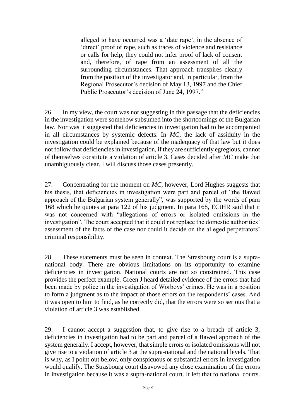alleged to have occurred was a 'date rape', in the absence of 'direct' proof of rape, such as traces of violence and resistance or calls for help, they could not infer proof of lack of consent and, therefore, of rape from an assessment of all the surrounding circumstances. That approach transpires clearly from the position of the investigator and, in particular, from the Regional Prosecutor's decision of May 13, 1997 and the Chief Public Prosecutor's decision of June 24, 1997."

26. In my view, the court was not suggesting in this passage that the deficiencies in the investigation were somehow subsumed into the shortcomings of the Bulgarian law. Nor was it suggested that deficiencies in investigation had to be accompanied in all circumstances by systemic defects. In *MC,* the lack of assiduity in the investigation could be explained because of the inadequacy of that law but it does not follow that deficiencies in investigation, if they are sufficiently egregious, cannot of themselves constitute a violation of article 3. Cases decided after *MC* make that unambiguously clear. I will discuss those cases presently.

27. Concentrating for the moment on *MC,* however, Lord Hughes suggests that his thesis, that deficiencies in investigation were part and parcel of "the flawed approach of the Bulgarian system generally", was supported by the words of para 168 which he quotes at para 122 of his judgment. In para 168, ECtHR said that it was not concerned with "allegations of errors or isolated omissions in the investigation". The court accepted that it could not replace the domestic authorities' assessment of the facts of the case nor could it decide on the alleged perpetrators' criminal responsibility.

28. These statements must be seen in context. The Strasbourg court is a supranational body. There are obvious limitations on its opportunity to examine deficiencies in investigation. National courts are not so constrained. This case provides the perfect example. Green J heard detailed evidence of the errors that had been made by police in the investigation of Worboys' crimes. He was in a position to form a judgment as to the impact of those errors on the respondents' cases. And it was open to him to find, as he correctly did, that the errors were so serious that a violation of article 3 was established.

29. I cannot accept a suggestion that, to give rise to a breach of article 3, deficiencies in investigation had to be part and parcel of a flawed approach of the system generally. I accept, however, that simple errors or isolated omissions will not give rise to a violation of article 3 at the supra-national and the national levels. That is why, as I point out below, only conspicuous or substantial errors in investigation would qualify. The Strasbourg court disavowed any close examination of the errors in investigation because it was a supra-national court. It left that to national courts.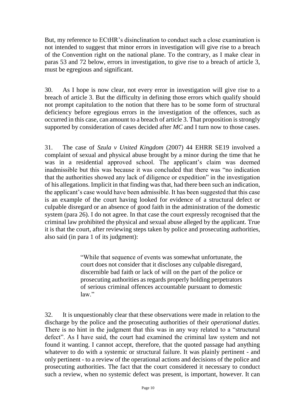But, my reference to ECtHR's disinclination to conduct such a close examination is not intended to suggest that minor errors in investigation will give rise to a breach of the Convention right on the national plane. To the contrary, as I make clear in paras 53 and 72 below, errors in investigation, to give rise to a breach of article 3, must be egregious and significant.

30. As I hope is now clear, not every error in investigation will give rise to a breach of article 3. But the difficulty in defining those errors which qualify should not prompt capitulation to the notion that there has to be some form of structural deficiency before egregious errors in the investigation of the offences, such as occurred in this case, can amount to a breach of article 3. That proposition is strongly supported by consideration of cases decided after *MC* and I turn now to those cases.

31. The case of *Szula v United Kingdom* (2007) 44 EHRR SE19 involved a complaint of sexual and physical abuse brought by a minor during the time that he was in a residential approved school. The applicant's claim was deemed inadmissible but this was because it was concluded that there was "no indication that the authorities showed any lack of diligence or expedition" in the investigation of his allegations. Implicit in that finding was that, had there been such an indication, the applicant's case would have been admissible. It has been suggested that this case is an example of the court having looked for evidence of a structural defect or culpable disregard or an absence of good faith in the administration of the domestic system (para 26). I do not agree. In that case the court expressly recognised that the criminal law prohibited the physical and sexual abuse alleged by the applicant. True it is that the court, after reviewing steps taken by police and prosecuting authorities, also said (in para 1 of its judgment):

> "While that sequence of events was somewhat unfortunate, the court does not consider that it discloses any culpable disregard, discernible bad faith or lack of will on the part of the police or prosecuting authorities as regards properly holding perpetrators of serious criminal offences accountable pursuant to domestic law."

32. It is unquestionably clear that these observations were made in relation to the discharge by the police and the prosecuting authorities of their *operational duties.* There is no hint in the judgment that this was in any way related to a "structural defect". As I have said, the court had examined the criminal law system and not found it wanting. I cannot accept, therefore, that the quoted passage had anything whatever to do with a systemic or structural failure. It was plainly pertinent - and only pertinent - to a review of the operational actions and decisions of the police and prosecuting authorities. The fact that the court considered it necessary to conduct such a review, when no systemic defect was present, is important, however. It can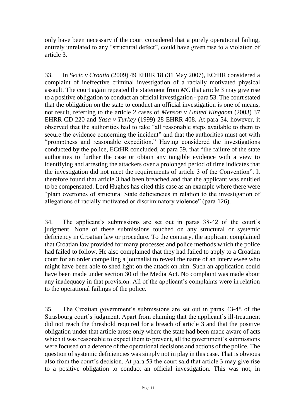only have been necessary if the court considered that a purely operational failing, entirely unrelated to any "structural defect", could have given rise to a violation of article 3.

33. In *Secic v Croatia* (2009) 49 EHRR 18 (31 May 2007), ECtHR considered a complaint of ineffective criminal investigation of a racially motivated physical assault. The court again repeated the statement from *MC* that article 3 may give rise to a positive obligation to conduct an official investigation - para 53. The court stated that the obligation on the state to conduct an official investigation is one of means, not result, referring to the article 2 cases of *Menson v United Kingdom* (2003) 37 EHRR CD 220 and *Yasa v Turkey* (1999) 28 EHRR 408. At para 54, however, it observed that the authorities had to take "all reasonable steps available to them to secure the evidence concerning the incident" and that the authorities must act with "promptness and reasonable expedition." Having considered the investigations conducted by the police, ECtHR concluded, at para 59, that "the failure of the state authorities to further the case or obtain any tangible evidence with a view to identifying and arresting the attackers over a prolonged period of time indicates that the investigation did not meet the requirements of article 3 of the Convention". It therefore found that article 3 had been breached and that the applicant was entitled to be compensated. Lord Hughes has cited this case as an example where there were "plain overtones of structural State deficiencies in relation to the investigation of allegations of racially motivated or discriminatory violence" (para 126).

34. The applicant's submissions are set out in paras 38-42 of the court's judgment. None of these submissions touched on any structural or systemic deficiency in Croatian law or procedure. To the contrary, the applicant complained that Croatian law provided for many processes and police methods which the police had failed to follow. He also complained that they had failed to apply to a Croatian court for an order compelling a journalist to reveal the name of an interviewee who might have been able to shed light on the attack on him. Such an application could have been made under section 30 of the Media Act. No complaint was made about any inadequacy in that provision. All of the applicant's complaints were in relation to the operational failings of the police.

35. The Croatian government's submissions are set out in paras 43-48 of the Strasbourg court's judgment. Apart from claiming that the applicant's ill-treatment did not reach the threshold required for a breach of article 3 and that the positive obligation under that article arose only where the state had been made aware of acts which it was reasonable to expect them to prevent, all the government's submissions were focused on a defence of the operational decisions and actions of the police. The question of systemic deficiencies was simply not in play in this case. That is obvious also from the court's decision. At para 53 the court said that article 3 may give rise to a positive obligation to conduct an official investigation. This was not, in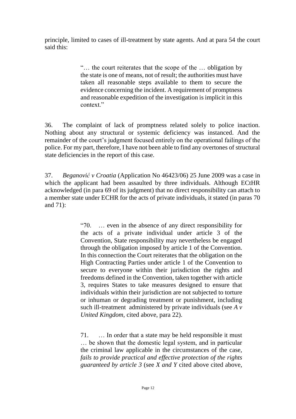principle, limited to cases of ill-treatment by state agents. And at para 54 the court said this:

> "… the court reiterates that the scope of the … obligation by the state is one of means, not of result; the authorities must have taken all reasonable steps available to them to secure the evidence concerning the incident. A requirement of promptness and reasonable expedition of the investigation is implicit in this context."

36. The complaint of lack of promptness related solely to police inaction. Nothing about any structural or systemic deficiency was instanced. And the remainder of the court's judgment focused entirely on the operational failings of the police. For my part, therefore, I have not been able to find any overtones of structural state deficiencies in the report of this case.

37. *Beganović v Croatia* (Application No 46423/06) 25 June 2009 was a case in which the applicant had been assaulted by three individuals. Although ECtHR acknowledged (in para 69 of its judgment) that no direct responsibility can attach to a member state under ECHR for the acts of private individuals, it stated (in paras 70 and 71):

> "70. … even in the absence of any direct responsibility for the acts of a private individual under article 3 of the Convention, State responsibility may nevertheless be engaged through the obligation imposed by article 1 of the Convention. In this connection the Court reiterates that the obligation on the High Contracting Parties under article 1 of the Convention to secure to everyone within their jurisdiction the rights and freedoms defined in the Convention, taken together with article 3, requires States to take measures designed to ensure that individuals within their jurisdiction are not subjected to torture or inhuman or degrading treatment or punishment, including such ill-treatment administered by private individuals (see *A v United Kingdom*, cited above, para 22).

> 71. … In order that a state may be held responsible it must … be shown that the domestic legal system, and in particular the criminal law applicable in the circumstances of the case, *fails to provide practical and effective protection of the rights guaranteed by article 3* (see *X and Y* cited above cited above,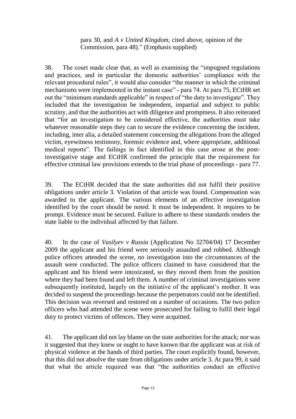para 30, and *A v United Kingdom*, cited above, opinion of the Commission, para 48)." (Emphasis supplied)

38. The court made clear that, as well as examining the "impugned regulations and practices, and in particular the domestic authorities' compliance with the relevant procedural rules", it would also consider "the manner in which the criminal mechanisms were implemented in the instant case" - para 74. At para 75, ECtHR set out the "minimum standards applicable" in respect of "the duty to investigate". They included that the investigation be independent, impartial and subject to public scrutiny, and that the authorities act with diligence and promptness. It also reiterated that "for an investigation to be considered effective, the authorities must take whatever reasonable steps they can to secure the evidence concerning the incident, including, inter alia, a detailed statement concerning the allegations from the alleged victim, eyewitness testimony, forensic evidence and, where appropriate, additional medical reports". The failings in fact identified in this case arose at the postinvestigative stage and ECtHR confirmed the principle that the requirement for effective criminal law provisions extends to the trial phase of proceedings - para 77.

39. The ECtHR decided that the state authorities did not fulfil their positive obligations under article 3. Violation of that article was found. Compensation was awarded to the applicant. The various elements of an effective investigation identified by the court should be noted. It must be independent. It requires to be prompt. Evidence must be secured. Failure to adhere to these standards renders the state liable to the individual affected by that failure.

40. In the case of *Vasilyev v Russia* (Application No 32704/04) 17 December 2009 the applicant and his friend were seriously assaulted and robbed. Although police officers attended the scene, no investigation into the circumstances of the assault were conducted. The police officers claimed to have considered that the applicant and his friend were intoxicated, so they moved them from the position where they had been found and left them. A number of criminal investigations were subsequently instituted, largely on the initiative of the applicant's mother. It was decided to suspend the proceedings because the perpetrators could not be identified. This decision was reversed and restored on a number of occasions. The two police officers who had attended the scene were prosecuted for failing to fulfil their legal duty to protect victims of offences. They were acquitted.

41. The applicant did not lay blame on the state authorities for the attack; nor was it suggested that they knew or ought to have known that the applicant was at risk of physical violence at the hands of third parties. The court explicitly found, however, that this did not absolve the state from obligations under article 3. At para 99, it said that what the article required was that "the authorities conduct an effective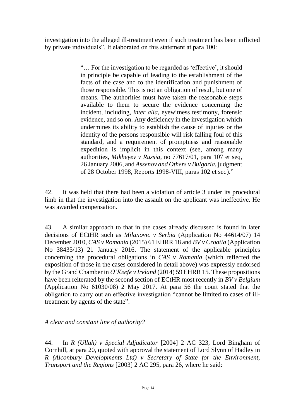investigation into the alleged ill-treatment even if such treatment has been inflicted by private individuals". It elaborated on this statement at para 100:

> "… For the investigation to be regarded as 'effective', it should in principle be capable of leading to the establishment of the facts of the case and to the identification and punishment of those responsible. This is not an obligation of result, but one of means. The authorities must have taken the reasonable steps available to them to secure the evidence concerning the incident, including, *inter alia,* eyewitness testimony, forensic evidence, and so on. Any deficiency in the investigation which undermines its ability to establish the cause of injuries or the identity of the persons responsible will risk falling foul of this standard, and a requirement of promptness and reasonable expedition is implicit in this context (see, among many authorities, *Mikheyev v Russia*, no 77617/01, para 107 et seq, 26 January 2006, and *Assenov and Others v Bulgaria*, judgment of 28 October 1998, Reports 1998-VIII, paras 102 et seq)."

42. It was held that there had been a violation of article 3 under its procedural limb in that the investigation into the assault on the applicant was ineffective. He was awarded compensation.

43. A similar approach to that in the cases already discussed is found in later decisions of ECtHR such as *Milanovic v Serbia* (Application No 44614/07) 14 December 2010, *CAS v Romania* (2015) 61 EHRR 18 and *BV v Croatia* (Application No 38435/13) 21 January 2016. The statement of the applicable principles concerning the procedural obligations in *CAS v Romania* (which reflected the exposition of those in the cases considered in detail above) was expressly endorsed by the Grand Chamber in *O'Keefe v Ireland* (2014) 59 EHRR 15. These propositions have been reiterated by the second section of ECtHR most recently in *BV v Belgium* (Application No 61030/08) 2 May 2017. At para 56 the court stated that the obligation to carry out an effective investigation "cannot be limited to cases of illtreatment by agents of the state".

*A clear and constant line of authority?*

44. In *R (Ullah) v Special Adjudicator* [2004] 2 AC 323, Lord Bingham of Cornhill, at para 20, quoted with approval the statement of Lord Slynn of Hadley in *R (Alconbury Developments Ltd) v Secretary of State for the Environment, Transport and the Regions* [2003] 2 AC 295, para 26, where he said: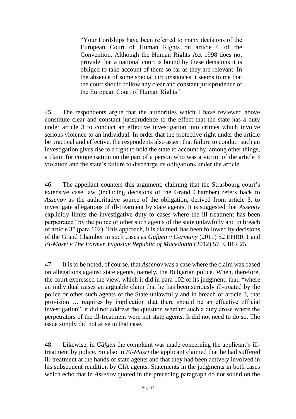"Your Lordships have been referred to many decisions of the European Court of Human Rights on article 6 of the Convention. Although the Human Rights Act 1998 does not provide that a national court is bound by these decisions it is obliged to take account of them so far as they are relevant. In the absence of some special circumstances it seems to me that the court should follow any clear and constant jurisprudence of the European Court of Human Rights."

45. The respondents argue that the authorities which I have reviewed above constitute clear and constant jurisprudence to the effect that the state has a duty under article 3 to conduct an effective investigation into crimes which involve serious violence to an individual. In order that the protective right under the article be practical and effective, the respondents also assert that failure to conduct such an investigation gives rise to a right to hold the state to account by, among other things, a claim for compensation on the part of a person who was a victim of the article 3 violation and the state's failure to discharge its obligations under the article.

46. The appellant counters this argument, claiming that the Strasbourg court's extensive case law (including decisions of the Grand Chamber) refers back to *Assenov* as the authoritative source of the obligation, derived from article 3, to investigate allegations of ill-treatment by state agents. It is suggested that *Assenov*  explicitly limits the investigative duty to cases where the ill-treatment has been perpetrated "by the police or other such agents of the state unlawfully and in breach of article 3" (para 102). This approach, it is claimed, has been followed by decisions of the Grand Chamber in such cases as *Gäfgen v Germany* (2011) 52 EHRR 1 and *El-Masri v The Former Yugoslav Republic of Macedonia* (2012) 57 EHRR 25.

47. It is to be noted, of course, that *Assenov* was a case where the claim was based on allegations against state agents, namely, the Bulgarian police. When, therefore, the court expressed the view, which it did in para 102 of its judgment, that, "where an individual raises an arguable claim that he has been seriously ill-treated by the police or other such agents of the State unlawfully and in breach of article 3, that provision … requires by implication that there should be an effective official investigation", it did not address the question whether such a duty arose where the perpetrators of the ill-treatment were not state agents. It did not need to do so. The issue simply did not arise in that case.

48. Likewise, in *Gäfgen* the complaint was made concerning the applicant's illtreatment by police. So also in *El-Masri* the applicant claimed that he had suffered ill-treatment at the hands of state agents and that they had been actively involved in his subsequent rendition by CIA agents. Statements in the judgments in both cases which echo that in *Assenov* quoted in the preceding paragraph do not sound on the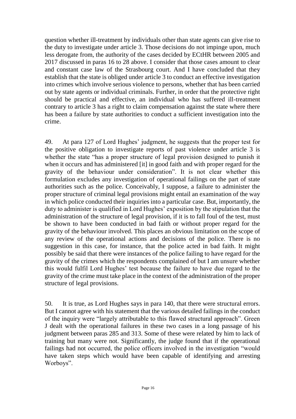question whether ill-treatment by individuals other than state agents can give rise to the duty to investigate under article 3. Those decisions do not impinge upon, much less derogate from, the authority of the cases decided by ECtHR between 2005 and 2017 discussed in paras 16 to 28 above. I consider that those cases amount to clear and constant case law of the Strasbourg court. And I have concluded that they establish that the state is obliged under article 3 to conduct an effective investigation into crimes which involve serious violence to persons, whether that has been carried out by state agents or individual criminals. Further, in order that the protective right should be practical and effective, an individual who has suffered ill-treatment contrary to article 3 has a right to claim compensation against the state where there has been a failure by state authorities to conduct a sufficient investigation into the crime.

49. At para 127 of Lord Hughes' judgment, he suggests that the proper test for the positive obligation to investigate reports of past violence under article 3 is whether the state "has a proper structure of legal provision designed to punish it when it occurs and has administered [it] in good faith and with proper regard for the gravity of the behaviour under consideration". It is not clear whether this formulation excludes any investigation of operational failings on the part of state authorities such as the police. Conceivably, I suppose, a failure to administer the proper structure of criminal legal provisions might entail an examination of the way in which police conducted their inquiries into a particular case. But, importantly, the duty to administer is qualified in Lord Hughes' exposition by the stipulation that the administration of the structure of legal provision, if it is to fall foul of the test, must be shown to have been conducted in bad faith or without proper regard for the gravity of the behaviour involved. This places an obvious limitation on the scope of any review of the operational actions and decisions of the police. There is no suggestion in this case, for instance, that the police acted in bad faith. It might possibly be said that there were instances of the police failing to have regard for the gravity of the crimes which the respondents complained of but I am unsure whether this would fulfil Lord Hughes' test because the failure to have due regard to the gravity of the crime must take place in the context of the administration of the proper structure of legal provisions.

50. It is true, as Lord Hughes says in para 140, that there were structural errors. But I cannot agree with his statement that the various detailed failings in the conduct of the inquiry were "largely attributable to this flawed structural approach". Green J dealt with the operational failures in these two cases in a long passage of his judgment between paras 285 and 313. Some of these were related by him to lack of training but many were not. Significantly, the judge found that if the operational failings had not occurred, the police officers involved in the investigation "would have taken steps which would have been capable of identifying and arresting Worboys".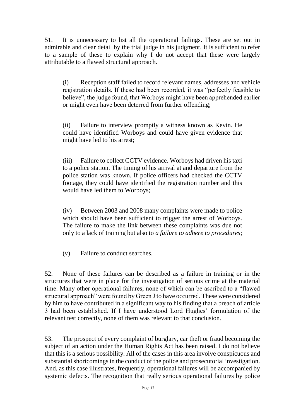51. It is unnecessary to list all the operational failings. These are set out in admirable and clear detail by the trial judge in his judgment. It is sufficient to refer to a sample of these to explain why I do not accept that these were largely attributable to a flawed structural approach.

(i) Reception staff failed to record relevant names, addresses and vehicle registration details. If these had been recorded, it was "perfectly feasible to believe", the judge found, that Worboys might have been apprehended earlier or might even have been deterred from further offending;

(ii) Failure to interview promptly a witness known as Kevin. He could have identified Worboys and could have given evidence that might have led to his arrest;

(iii) Failure to collect CCTV evidence. Worboys had driven his taxi to a police station. The timing of his arrival at and departure from the police station was known. If police officers had checked the CCTV footage, they could have identified the registration number and this would have led them to Worboys;

(iv) Between 2003 and 2008 many complaints were made to police which should have been sufficient to trigger the arrest of Worboys. The failure to make the link between these complaints was due not only to a lack of training but also to *a failure to adhere to procedures*;

(v) Failure to conduct searches.

52. None of these failures can be described as a failure in training or in the structures that were in place for the investigation of serious crime at the material time. Many other operational failures, none of which can be ascribed to a "flawed structural approach" were found by Green J to have occurred. These were considered by him to have contributed in a significant way to his finding that a breach of article 3 had been established. If I have understood Lord Hughes' formulation of the relevant test correctly, none of them was relevant to that conclusion.

53. The prospect of every complaint of burglary, car theft or fraud becoming the subject of an action under the Human Rights Act has been raised. I do not believe that this is a serious possibility. All of the cases in this area involve conspicuous and substantial shortcomings in the conduct of the police and prosecutorial investigation. And, as this case illustrates, frequently, operational failures will be accompanied by systemic defects. The recognition that really serious operational failures by police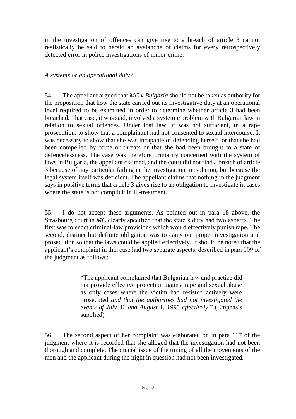in the investigation of offences can give rise to a breach of article 3 cannot realistically be said to herald an avalanche of claims for every retrospectively detected error in police investigations of minor crime.

# *A systems or an operational duty?*

54. The appellant argued that *MC v Bulgaria* should not be taken as authority for the proposition that how the state carried out its investigative duty at an operational level required to be examined in order to determine whether article 3 had been breached. That case, it was said, involved a systemic problem with Bulgarian law in relation to sexual offences. Under that law, it was not sufficient, in a rape prosecution, to show that a complainant had not consented to sexual intercourse. It was necessary to show that she was incapable of defending herself, or that she had been compelled by force or threats or that she had been brought to a state of defencelessness. The case was therefore primarily concerned with the system of laws in Bulgaria, the appellant claimed, and the court did not find a breach of article 3 because of any particular failing in the investigation in isolation, but because the legal system itself was deficient. The appellant claims that nothing in the judgment says in positive terms that article 3 gives rise to an obligation to investigate in cases where the state is not complicit in ill-treatment.

55. I do not accept these arguments. As pointed out in para 18 above, the Strasbourg court in *MC* clearly specified that the state's duty had two aspects. The first was to enact criminal-law provisions which would effectively punish rape. The second, distinct but definite obligation was to carry out proper investigation and prosecution so that the laws could be applied effectively. It should be noted that the applicant's complaint in that case had two separate aspects, described in para 109 of the judgment as follows:

> "The applicant complained that Bulgarian law and practice did not provide effective protection against rape and sexual abuse as only cases where the victim had resisted actively were prosecuted *and that the authorities had not investigated the events of July 31 and August 1, 1995 effectively*." (Emphasis supplied)

56. The second aspect of her complaint was elaborated on in para 117 of the judgment where it is recorded that she alleged that the investigation had not been thorough and complete. The crucial issue of the timing of all the movements of the men and the applicant during the night in question had not been investigated.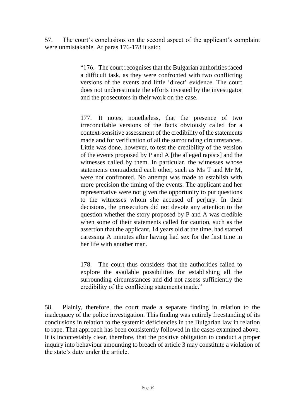57. The court's conclusions on the second aspect of the applicant's complaint were unmistakable. At paras 176-178 it said:

> "176. The court recognises that the Bulgarian authorities faced a difficult task, as they were confronted with two conflicting versions of the events and little 'direct' evidence. The court does not underestimate the efforts invested by the investigator and the prosecutors in their work on the case.

> 177. It notes, nonetheless, that the presence of two irreconcilable versions of the facts obviously called for a context-sensitive assessment of the credibility of the statements made and for verification of all the surrounding circumstances. Little was done, however, to test the credibility of the version of the events proposed by P and A [the alleged rapists] and the witnesses called by them. In particular, the witnesses whose statements contradicted each other, such as Ms T and Mr M, were not confronted. No attempt was made to establish with more precision the timing of the events. The applicant and her representative were not given the opportunity to put questions to the witnesses whom she accused of perjury. In their decisions, the prosecutors did not devote any attention to the question whether the story proposed by P and A was credible when some of their statements called for caution, such as the assertion that the applicant, 14 years old at the time, had started caressing A minutes after having had sex for the first time in her life with another man.

> 178. The court thus considers that the authorities failed to explore the available possibilities for establishing all the surrounding circumstances and did not assess sufficiently the credibility of the conflicting statements made."

58. Plainly, therefore, the court made a separate finding in relation to the inadequacy of the police investigation. This finding was entirely freestanding of its conclusions in relation to the systemic deficiencies in the Bulgarian law in relation to rape. That approach has been consistently followed in the cases examined above. It is incontestably clear, therefore, that the positive obligation to conduct a proper inquiry into behaviour amounting to breach of article 3 may constitute a violation of the state's duty under the article.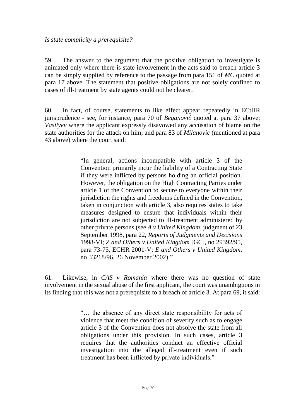#### *Is state complicity a prerequisite?*

59. The answer to the argument that the positive obligation to investigate is animated only where there is state involvement in the acts said to breach article 3 can be simply supplied by reference to the passage from para 151 of *MC* quoted at para 17 above. The statement that positive obligations are not solely confined to cases of ill-treatment by state agents could not be clearer.

60. In fact, of course, statements to like effect appear repeatedly in ECtHR jurisprudence - see, for instance, para 70 of *Beganović* quoted at para 37 above; *Vasilyev* where the applicant expressly disavowed any accusation of blame on the state authorities for the attack on him; and para 83 of *Milanovic* (mentioned at para 43 above) where the court said:

> "In general, actions incompatible with article 3 of the Convention primarily incur the liability of a Contracting State if they were inflicted by persons holding an official position. However, the obligation on the High Contracting Parties under article 1 of the Convention to secure to everyone within their jurisdiction the rights and freedoms defined in the Convention, taken in conjunction with article 3, also requires states to take measures designed to ensure that individuals within their jurisdiction are not subjected to ill-treatment administered by other private persons (see *A v United Kingdom,* judgment of 23 September 1998, para 22, *Reports of Judgments and Decisions* 1998-VI; *Z and Others v United Kingdom* [GC], no 29392/95, para 73-75, ECHR 2001-V; *E and Others v United Kingdom*, no 33218/96, 26 November 2002)."

61. Likewise, in *CAS v Romania* where there was no question of state involvement in the sexual abuse of the first applicant, the court was unambiguous in its finding that this was not a prerequisite to a breach of article 3. At para 69, it said:

> "… the absence of any direct state responsibility for acts of violence that meet the condition of severity such as to engage article 3 of the Convention does not absolve the state from all obligations under this provision. In such cases, article 3 requires that the authorities conduct an effective official investigation into the alleged ill-treatment even if such treatment has been inflicted by private individuals."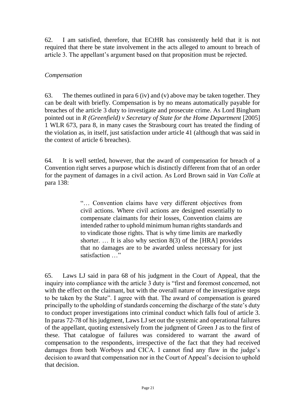62. I am satisfied, therefore, that ECtHR has consistently held that it is not required that there be state involvement in the acts alleged to amount to breach of article 3. The appellant's argument based on that proposition must be rejected.

#### *Compensation*

63. The themes outlined in para 6 (iv) and (v) above may be taken together. They can be dealt with briefly. Compensation is by no means automatically payable for breaches of the article 3 duty to investigate and prosecute crime. As Lord Bingham pointed out in *R (Greenfield) v Secretary of State for the Home Department* [2005] 1 WLR 673, para 8, in many cases the Strasbourg court has treated the finding of the violation as, in itself, just satisfaction under article 41 (although that was said in the context of article 6 breaches).

64. It is well settled, however, that the award of compensation for breach of a Convention right serves a purpose which is distinctly different from that of an order for the payment of damages in a civil action. As Lord Brown said in *Van Colle* at para 138:

> "… Convention claims have very different objectives from civil actions. Where civil actions are designed essentially to compensate claimants for their losses, Convention claims are intended rather to uphold minimum human rights standards and to vindicate those rights. That is why time limits are markedly shorter. … It is also why section 8(3) of the [HRA] provides that no damages are to be awarded unless necessary for just satisfaction ..."

65. Laws LJ said in para 68 of his judgment in the Court of Appeal, that the inquiry into compliance with the article 3 duty is "first and foremost concerned, not with the effect on the claimant, but with the overall nature of the investigative steps to be taken by the State". I agree with that. The award of compensation is geared principally to the upholding of standards concerning the discharge of the state's duty to conduct proper investigations into criminal conduct which falls foul of article 3. In paras 72-78 of his judgment, Laws LJ set out the systemic and operational failures of the appellant, quoting extensively from the judgment of Green J as to the first of these. That catalogue of failures was considered to warrant the award of compensation to the respondents, irrespective of the fact that they had received damages from both Worboys and CICA. I cannot find any flaw in the judge's decision to award that compensation nor in the Court of Appeal's decision to uphold that decision.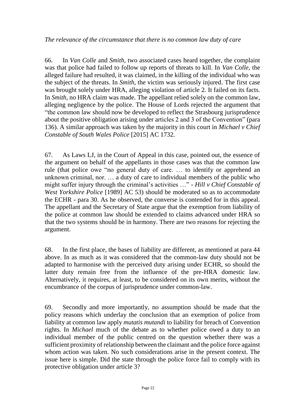66. In *Van Colle* and *Smith*, two associated cases heard together, the complaint was that police had failed to follow up reports of threats to kill. In *Van Colle,* the alleged failure had resulted, it was claimed, in the killing of the individual who was the subject of the threats. In *Smith,* the victim was seriously injured. The first case was brought solely under HRA, alleging violation of article 2. It failed on its facts. In *Smith,* no HRA claim was made. The appellant relied solely on the common law, alleging negligence by the police. The House of Lords rejected the argument that "the common law should now be developed to reflect the Strasbourg jurisprudence about the positive obligation arising under articles 2 and 3 of the Convention" (para 136). A similar approach was taken by the majority in this court in *Michael v Chief Constable of South Wales Police* [2015] AC 1732.

67. As Laws LJ, in the Court of Appeal in this case, pointed out, the essence of the argument on behalf of the appellants in those cases was that the common law rule (that police owe "no general duty of care. … to identify or apprehend an unknown criminal, nor. … a duty of care to individual members of the public who might suffer injury through the criminal's activities …" - *Hill v Chief Constable of West Yorkshire Police* [1989] AC 53) should be moderated so as to accommodate the ECHR - para 30. As he observed, the converse is contended for in this appeal. The appellant and the Secretary of State argue that the exemption from liability of the police at common law should be extended to claims advanced under HRA so that the two systems should be in harmony. There are two reasons for rejecting the argument.

68. In the first place, the bases of liability are different, as mentioned at para 44 above. In as much as it was considered that the common-law duty should not be adapted to harmonise with the perceived duty arising under ECHR, so should the latter duty remain free from the influence of the pre-HRA domestic law. Alternatively, it requires, at least, to be considered on its own merits, without the encumbrance of the corpus of jurisprudence under common-law.

69. Secondly and more importantly, no assumption should be made that the policy reasons which underlay the conclusion that an exemption of police from liability at common law apply *mutatis mutandi* to liability for breach of Convention rights. In *Michael* much of the debate as to whether police owed a duty to an individual member of the public centred on the question whether there was a sufficient proximity of relationship between the claimant and the police force against whom action was taken. No such considerations arise in the present context. The issue here is simple. Did the state through the police force fail to comply with its protective obligation under article 3?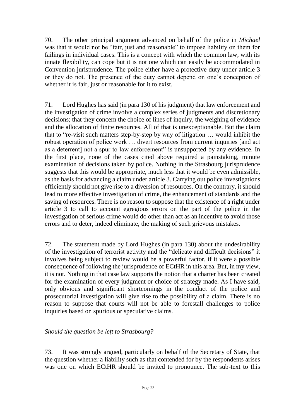70. The other principal argument advanced on behalf of the police in *Michael*  was that it would not be "fair, just and reasonable" to impose liability on them for failings in individual cases. This is a concept with which the common law, with its innate flexibility, can cope but it is not one which can easily be accommodated in Convention jurisprudence. The police either have a protective duty under article 3 or they do not. The presence of the duty cannot depend on one's conception of whether it is fair, just or reasonable for it to exist.

71. Lord Hughes has said (in para 130 of his judgment) that law enforcement and the investigation of crime involve a complex series of judgments and discretionary decisions; that they concern the choice of lines of inquiry, the weighing of evidence and the allocation of finite resources. All of that is unexceptionable. But the claim that to "re-visit such matters step-by-step by way of litigation … would inhibit the robust operation of police work … divert resources from current inquiries [and act as a deterrent] not a spur to law enforcement" is unsupported by any evidence. In the first place, none of the cases cited above required a painstaking, minute examination of decisions taken by police. Nothing in the Strasbourg jurisprudence suggests that this would be appropriate, much less that it would be even admissible, as the basis for advancing a claim under article 3. Carrying out police investigations efficiently should not give rise to a diversion of resources. On the contrary, it should lead to more effective investigation of crime, the enhancement of standards and the saving of resources. There is no reason to suppose that the existence of a right under article 3 to call to account egregious errors on the part of the police in the investigation of serious crime would do other than act as an incentive to avoid those errors and to deter, indeed eliminate, the making of such grievous mistakes.

72. The statement made by Lord Hughes (in para 130) about the undesirability of the investigation of terrorist activity and the "delicate and difficult decisions" it involves being subject to review would be a powerful factor, if it were a possible consequence of following the jurisprudence of ECtHR in this area. But, in my view, it is not. Nothing in that case law supports the notion that a charter has been created for the examination of every judgment or choice of strategy made. As I have said, only obvious and significant shortcomings in the conduct of the police and prosecutorial investigation will give rise to the possibility of a claim. There is no reason to suppose that courts will not be able to forestall challenges to police inquiries based on spurious or speculative claims.

*Should the question be left to Strasbourg?*

73. It was strongly argued, particularly on behalf of the Secretary of State, that the question whether a liability such as that contended for by the respondents arises was one on which ECtHR should be invited to pronounce. The sub-text to this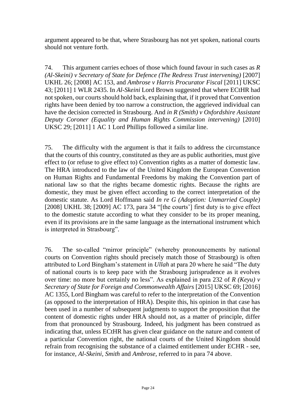argument appeared to be that, where Strasbourg has not yet spoken, national courts should not venture forth.

74. This argument carries echoes of those which found favour in such cases as *R (Al-Skeini) v Secretary of State for Defence (The Redress Trust intervening)* [2007] UKHL 26; [2008] AC 153, and *Ambrose v Harris Procurator Fiscal* [2011] UKSC 43; [2011] 1 WLR 2435. In *Al-Skeini* Lord Brown suggested that where ECtHR had not spoken, our courts should hold back, explaining that, if it proved that Convention rights have been denied by too narrow a construction, the aggrieved individual can have the decision corrected in Strasbourg. And *in R (Smith) v Oxfordshire Assistant Deputy Coroner (Equality and Human Rights Commission intervening)* [2010] UKSC 29; [2011] 1 AC 1 Lord Phillips followed a similar line.

75. The difficulty with the argument is that it fails to address the circumstance that the courts of this country, constituted as they are as public authorities, must give effect to (or refuse to give effect to) Convention rights as a matter of domestic law. The HRA introduced to the law of the United Kingdom the European Convention on Human Rights and Fundamental Freedoms by making the Convention part of national law so that the rights became domestic rights. Because the rights are domestic, they must be given effect according to the correct interpretation of the domestic statute. As Lord Hoffmann said *In re G (Adoption: Unmarried Couple)* [2008] UKHL 38; [2009] AC 173, para 34 "[the courts'] first duty is to give effect to the domestic statute according to what they consider to be its proper meaning, even if its provisions are in the same language as the international instrument which is interpreted in Strasbourg".

76. The so-called "mirror principle" (whereby pronouncements by national courts on Convention rights should precisely match those of Strasbourg) is often attributed to Lord Bingham's statement in *Ullah* at para 20 where he said "The duty of national courts is to keep pace with the Strasbourg jurisprudence as it evolves over time: no more but certainly no less". As explained in para 232 of *R (Keyu) v Secretary of State for Foreign and Commonwealth Affairs* [2015] UKSC 69; [2016] AC 1355, Lord Bingham was careful to refer to the interpretation of the Convention (as opposed to the interpretation of HRA). Despite this, his opinion in that case has been used in a number of subsequent judgments to support the proposition that the content of domestic rights under HRA should not, as a matter of principle, differ from that pronounced by Strasbourg. Indeed, his judgment has been construed as indicating that, unless ECtHR has given clear guidance on the nature and content of a particular Convention right, the national courts of the United Kingdom should refrain from recognising the substance of a claimed entitlement under ECHR - see, for instance, *Al-Skeini, Smith* and *Ambrose,* referred to in para 74 above.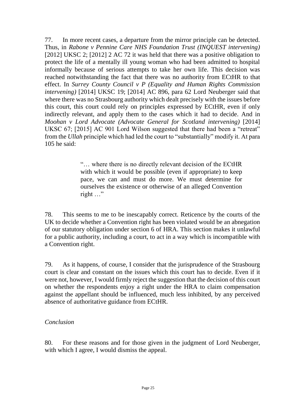77. In more recent cases, a departure from the mirror principle can be detected. Thus, in *Rabone v Pennine Care NHS Foundation Trust (INQUEST intervening)*  [2012] UKSC 2; [2012] 2 AC 72 it was held that there was a positive obligation to protect the life of a mentally ill young woman who had been admitted to hospital informally because of serious attempts to take her own life. This decision was reached notwithstanding the fact that there was no authority from ECtHR to that effect. In *Surrey County Council v P (Equality and Human Rights Commission intervening)* [2014] UKSC 19; [2014] AC 896, para 62 Lord Neuberger said that where there was no Strasbourg authority which dealt precisely with the issues before this court, this court could rely on principles expressed by ECtHR, even if only indirectly relevant, and apply them to the cases which it had to decide*.* And in *Moohan v Lord Advocate (Advocate General for Scotland intervening)* [2014] UKSC 67; [2015] AC 901 Lord Wilson suggested that there had been a "retreat" from the *Ullah* principle which had led the court to "substantially" modify it. At para 105 he said:

> "… where there is no directly relevant decision of the ECtHR with which it would be possible (even if appropriate) to keep pace, we can and must do more. We must determine for ourselves the existence or otherwise of an alleged Convention right …"

78. This seems to me to be inescapably correct. Reticence by the courts of the UK to decide whether a Convention right has been violated would be an abnegation of our statutory obligation under section 6 of HRA. This section makes it unlawful for a public authority, including a court, to act in a way which is incompatible with a Convention right.

79. As it happens, of course, I consider that the jurisprudence of the Strasbourg court is clear and constant on the issues which this court has to decide. Even if it were not, however, I would firmly reject the suggestion that the decision of this court on whether the respondents enjoy a right under the HRA to claim compensation against the appellant should be influenced, much less inhibited, by any perceived absence of authoritative guidance from ECtHR.

#### *Conclusion*

80. For these reasons and for those given in the judgment of Lord Neuberger, with which I agree, I would dismiss the appeal.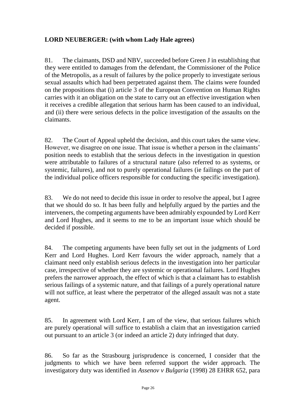# **LORD NEUBERGER: (with whom Lady Hale agrees)**

81. The claimants, DSD and NBV, succeeded before Green J in establishing that they were entitled to damages from the defendant, the Commissioner of the Police of the Metropolis, as a result of failures by the police properly to investigate serious sexual assaults which had been perpetrated against them. The claims were founded on the propositions that (i) article 3 of the European Convention on Human Rights carries with it an obligation on the state to carry out an effective investigation when it receives a credible allegation that serious harm has been caused to an individual, and (ii) there were serious defects in the police investigation of the assaults on the claimants.

82. The Court of Appeal upheld the decision, and this court takes the same view. However, we disagree on one issue. That issue is whether a person in the claimants' position needs to establish that the serious defects in the investigation in question were attributable to failures of a structural nature (also referred to as systems, or systemic, failures), and not to purely operational failures (ie failings on the part of the individual police officers responsible for conducting the specific investigation).

83. We do not need to decide this issue in order to resolve the appeal, but I agree that we should do so. It has been fully and helpfully argued by the parties and the interveners, the competing arguments have been admirably expounded by Lord Kerr and Lord Hughes, and it seems to me to be an important issue which should be decided if possible.

84. The competing arguments have been fully set out in the judgments of Lord Kerr and Lord Hughes. Lord Kerr favours the wider approach, namely that a claimant need only establish serious defects in the investigation into her particular case, irrespective of whether they are systemic or operational failures. Lord Hughes prefers the narrower approach, the effect of which is that a claimant has to establish serious failings of a systemic nature, and that failings of a purely operational nature will not suffice, at least where the perpetrator of the alleged assault was not a state agent.

85. In agreement with Lord Kerr, I am of the view, that serious failures which are purely operational will suffice to establish a claim that an investigation carried out pursuant to an article 3 (or indeed an article 2) duty infringed that duty.

86. So far as the Strasbourg jurisprudence is concerned, I consider that the judgments to which we have been referred support the wider approach. The investigatory duty was identified in *Assenov v Bulgaria* (1998) 28 EHRR 652, para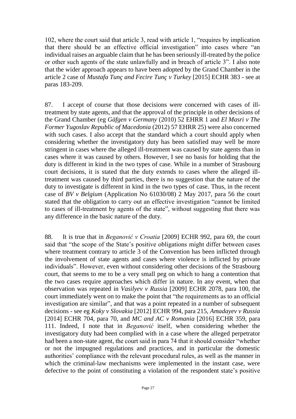102, where the court said that article 3, read with article 1, "requires by implication that there should be an effective official investigation" into cases where "an individual raises an arguable claim that he has been seriously ill-treated by the police or other such agents of the state unlawfully and in breach of article 3". I also note that the wider approach appears to have been adopted by the Grand Chamber in the article 2 case of *Mustafa Tunç and Fecire Tunç v Turkey* [2015] ECHR 383 - see at paras 183-209.

87. I accept of course that those decisions were concerned with cases of illtreatment by state agents, and that the approval of the principle in other decisions of the Grand Chamber (eg *Gäfgen v Germany* (2010) 52 EHRR 1 and *El Masri v The Former Yugoslav Republic of Macedonia* (2012) 57 EHRR 25) were also concerned with such cases. I also accept that the standard which a court should apply when considering whether the investigatory duty has been satisfied may well be more stringent in cases where the alleged ill-treatment was caused by state agents than in cases where it was caused by others. However, I see no basis for holding that the duty is different in kind in the two types of case. While in a number of Strasbourg court decisions, it is stated that the duty extends to cases where the alleged illtreatment was caused by third parties, there is no suggestion that the nature of the duty to investigate is different in kind in the two types of case. Thus, in the recent case of *BV v Belgium* (Application No 61030/08) 2 May 2017, para 56 the court stated that the obligation to carry out an effective investigation "cannot be limited to cases of ill-treatment by agents of the state", without suggesting that there was any difference in the basic nature of the duty.

88. It is true that in *Beganović v Croatia* [2009] ECHR 992, para 69, the court said that "the scope of the State's positive obligations might differ between cases where treatment contrary to article 3 of the Convention has been inflicted through the involvement of state agents and cases where violence is inflicted by private individuals". However, even without considering other decisions of the Strasbourg court, that seems to me to be a very small peg on which to hang a contention that the two cases require approaches which differ in nature. In any event, when that observation was repeated in *Vasilyev v Russia* [2009] ECHR 2078, para 100, the court immediately went on to make the point that "the requirements as to an official investigation are similar", and that was a point repeated in a number of subsequent decisions - see eg *Koky v Slovakia* [2012] ECHR 994, para 215, *Amadayev v Russia* [2014] ECHR 704, para 70, and *MC and AC v Romania* [2016] ECHR 359, para 111. Indeed, I note that in *Beganović* itself, when considering whether the investigatory duty had been complied with in a case where the alleged perpetrator had been a non-state agent, the court said in para 74 that it should consider "whether or not the impugned regulations and practices, and in particular the domestic authorities' compliance with the relevant procedural rules, as well as the manner in which the criminal-law mechanisms were implemented in the instant case, were defective to the point of constituting a violation of the respondent state's positive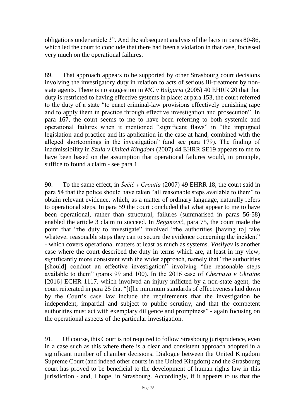obligations under article 3". And the subsequent analysis of the facts in paras 80-86, which led the court to conclude that there had been a violation in that case, focussed very much on the operational failures.

89. That approach appears to be supported by other Strasbourg court decisions involving the investigatory duty in relation to acts of serious ill-treatment by nonstate agents. There is no suggestion in *MC v Bulgaria* (2005) 40 EHRR 20 that that duty is restricted to having effective systems in place: at para 153, the court referred to the duty of a state "to enact criminal-law provisions effectively punishing rape and to apply them in practice through effective investigation and prosecution". In para 167, the court seems to me to have been referring to both systemic and operational failures when it mentioned "significant flaws" in "the impugned legislation and practice and its application in the case at hand, combined with the alleged shortcomings in the investigation" (and see para 179). The finding of inadmissibility in *Szula v United Kingdom* (2007) 44 EHRR SE19 appears to me to have been based on the assumption that operational failures would, in principle, suffice to found a claim - see para 1.

90. To the same effect, in *Šečić v Croatia* (2007) 49 EHRR 18, the court said in para 54 that the police should have taken "all reasonable steps available to them" to obtain relevant evidence, which, as a matter of ordinary language, naturally refers to operational steps. In para 59 the court concluded that what appear to me to have been operational, rather than structural, failures (summarised in paras 56-58) enabled the article 3 claim to succeed. In *Beganović*, para 75, the court made the point that "the duty to investigate" involved "the authorities [having to] take whatever reasonable steps they can to secure the evidence concerning the incident" - which covers operational matters at least as much as systems. *Vasilyev* is another case where the court described the duty in terms which are, at least in my view, significantly more consistent with the wider approach, namely that "the authorities [should] conduct an effective investigation" involving "the reasonable steps available to them" (paras 99 and 100). In the 2016 case of *Chernaya v Ukraine*  [2016] ECHR 1117, which involved an injury inflicted by a non-state agent, the court reiterated in para 25 that "[t]he minimum standards of effectiveness laid down by the Court's case law include the requirements that the investigation be independent, impartial and subject to public scrutiny, and that the competent authorities must act with exemplary diligence and promptness" - again focusing on the operational aspects of the particular investigation.

91. Of course, this Court is not required to follow Strasbourg jurisprudence, even in a case such as this where there is a clear and consistent approach adopted in a significant number of chamber decisions. Dialogue between the United Kingdom Supreme Court (and indeed other courts in the United Kingdom) and the Strasbourg court has proved to be beneficial to the development of human rights law in this jurisdiction - and, I hope, in Strasbourg. Accordingly, if it appears to us that the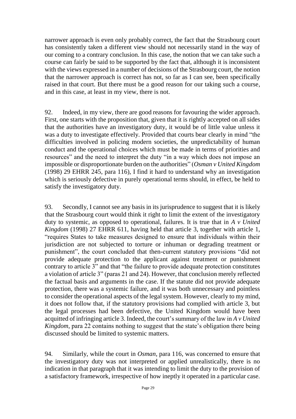narrower approach is even only probably correct, the fact that the Strasbourg court has consistently taken a different view should not necessarily stand in the way of our coming to a contrary conclusion. In this case, the notion that we can take such a course can fairly be said to be supported by the fact that, although it is inconsistent with the views expressed in a number of decisions of the Strasbourg court, the notion that the narrower approach is correct has not, so far as I can see, been specifically raised in that court. But there must be a good reason for our taking such a course, and in this case, at least in my view, there is not.

92. Indeed, in my view, there are good reasons for favouring the wider approach. First, one starts with the proposition that, given that it is rightly accepted on all sides that the authorities have an investigatory duty, it would be of little value unless it was a duty to investigate effectively. Provided that courts bear clearly in mind "the difficulties involved in policing modern societies, the unpredictability of human conduct and the operational choices which must be made in terms of priorities and resources" and the need to interpret the duty "in a way which does not impose an impossible or disproportionate burden on the authorities" (*Osman v United Kingdom*  (1998) 29 EHRR 245, para 116), I find it hard to understand why an investigation which is seriously defective in purely operational terms should, in effect, be held to satisfy the investigatory duty.

93. Secondly, I cannot see any basis in its jurisprudence to suggest that it is likely that the Strasbourg court would think it right to limit the extent of the investigatory duty to systemic, as opposed to operational, failures. It is true that in *A v United Kingdom* (1998) 27 EHRR 611, having held that article 3, together with article 1, "requires States to take measures designed to ensure that individuals within their jurisdiction are not subjected to torture or inhuman or degrading treatment or punishment", the court concluded that then-current statutory provisions "did not provide adequate protection to the applicant against treatment or punishment contrary to article 3" and that "the failure to provide adequate protection constitutes a violation of article 3" (paras 21 and 24). However, that conclusion merely reflected the factual basis and arguments in the case. If the statute did not provide adequate protection, there was a systemic failure, and it was both unnecessary and pointless to consider the operational aspects of the legal system. However, clearly to my mind, it does not follow that, if the statutory provisions had complied with article 3, but the legal processes had been defective, the United Kingdom would have been acquitted of infringing article 3. Indeed, the court's summary of the law in *A v United Kingdom*, para 22 contains nothing to suggest that the state's obligation there being discussed should be limited to systemic matters.

94. Similarly, while the court in *Osman*, para 116, was concerned to ensure that the investigatory duty was not interpreted or applied unrealistically, there is no indication in that paragraph that it was intending to limit the duty to the provision of a satisfactory framework, irrespective of how ineptly it operated in a particular case.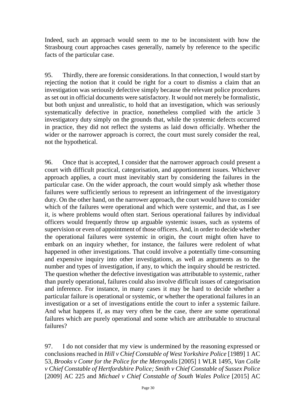Indeed, such an approach would seem to me to be inconsistent with how the Strasbourg court approaches cases generally, namely by reference to the specific facts of the particular case.

95. Thirdly, there are forensic considerations. In that connection, I would start by rejecting the notion that it could be right for a court to dismiss a claim that an investigation was seriously defective simply because the relevant police procedures as set out in official documents were satisfactory. It would not merely be formalistic, but both unjust and unrealistic, to hold that an investigation, which was seriously systematically defective in practice, nonetheless complied with the article 3 investigatory duty simply on the grounds that, while the systemic defects occurred in practice, they did not reflect the systems as laid down officially. Whether the wider or the narrower approach is correct, the court must surely consider the real, not the hypothetical.

96. Once that is accepted, I consider that the narrower approach could present a court with difficult practical, categorisation, and apportionment issues. Whichever approach applies, a court must inevitably start by considering the failures in the particular case. On the wider approach, the court would simply ask whether those failures were sufficiently serious to represent an infringement of the investigatory duty. On the other hand, on the narrower approach, the court would have to consider which of the failures were operational and which were systemic, and that, as I see it, is where problems would often start. Serious operational failures by individual officers would frequently throw up arguable systemic issues, such as systems of supervision or even of appointment of those officers. And, in order to decide whether the operational failures were systemic in origin, the court might often have to embark on an inquiry whether, for instance, the failures were redolent of what happened in other investigations. That could involve a potentially time-consuming and expensive inquiry into other investigations, as well as arguments as to the number and types of investigation, if any, to which the inquiry should be restricted. The question whether the defective investigation was attributable to systemic, rather than purely operational, failures could also involve difficult issues of categorisation and inference. For instance, in many cases it may be hard to decide whether a particular failure is operational or systemic, or whether the operational failures in an investigation or a set of investigations entitle the court to infer a systemic failure. And what happens if, as may very often be the case, there are some operational failures which are purely operational and some which are attributable to structural failures?

97. I do not consider that my view is undermined by the reasoning expressed or conclusions reached in *Hill v Chief Constable of West Yorkshire Police* [1989] 1 AC 53, *Brooks v Comr for the Police for the Metropolis* [2005] 1 WLR 1495, *Van Colle v Chief Constable of Hertfordshire Police; Smith v Chief Constable of Sussex Police* [2009] AC 225 and *Michael v Chief Constable of South Wales Police* [2015] AC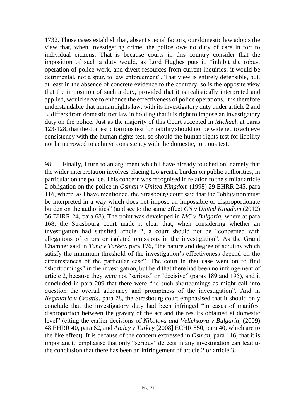1732. Those cases establish that, absent special factors, our domestic law adopts the view that, when investigating crime, the police owe no duty of care in tort to individual citizens. That is because courts in this country consider that the imposition of such a duty would, as Lord Hughes puts it, "inhibit the robust operation of police work, and divert resources from current inquiries; it would be detrimental, not a spur, to law enforcement". That view is entirely defensible, but, at least in the absence of concrete evidence to the contrary, so is the opposite view that the imposition of such a duty, provided that it is realistically interpreted and applied, would serve to enhance the effectiveness of police operations. It is therefore understandable that human rights law, with its investigatory duty under article 2 and 3, differs from domestic tort law in holding that it is right to impose an investigatory duty on the police. Just as the majority of this Court accepted in *Michael*, at paras 123-128, that the domestic tortious test for liability should not be widened to achieve consistency with the human rights test, so should the human rights test for liability not be narrowed to achieve consistency with the domestic, tortious test.

98. Finally, I turn to an argument which I have already touched on, namely that the wider interpretation involves placing too great a burden on public authorities, in particular on the police. This concern was recognised in relation to the similar article 2 obligation on the police in *Osman v United Kingdom* (1998) 29 EHRR 245, para 116, where, as I have mentioned, the Strasbourg court said that the "obligation must be interpreted in a way which does not impose an impossible or disproportionate burden on the authorities" (and see to the same effect *CN v United Kingdom* (2012) 56 EHRR 24, para 68). The point was developed in *MC v Bulgaria*, where at para 168, the Strasbourg court made it clear that, when considering whether an investigation had satisfied article 2, a court should not be "concerned with allegations of errors or isolated omissions in the investigation". As the Grand Chamber said in *Tunç v Turkey*, para 176, "the nature and degree of scrutiny which satisfy the minimum threshold of the investigation's effectiveness depend on the circumstances of the particular case". The court in that case went on to find "shortcomings" in the investigation, but held that there had been no infringement of article 2, because they were not "serious" or "decisive" (paras 189 and 195), and it concluded in para 209 that there were "no such shortcomings as might call into question the overall adequacy and promptness of the investigation". And in *Beganović v Croatia*, para 78, the Strasbourg court emphasised that it should only conclude that the investigatory duty had been infringed "in cases of manifest disproportion between the gravity of the act and the results obtained at domestic level" (citing the earlier decisions of *Nikolova and Velichkova v Bulgaria*, (2009) 48 EHRR 40, para 62, and *Atalay v Turkey* [2008] ECHR 850, para 40, which are to the like effect). It is because of the concern expressed in *Osman*, para 116, that it is important to emphasise that only "serious" defects in any investigation can lead to the conclusion that there has been an infringement of article 2 or article 3.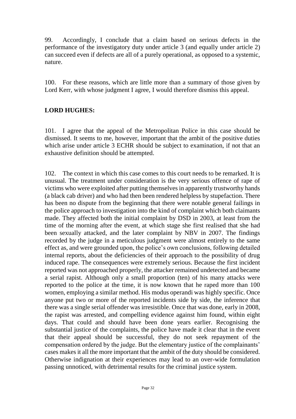99. Accordingly, I conclude that a claim based on serious defects in the performance of the investigatory duty under article 3 (and equally under article 2) can succeed even if defects are all of a purely operational, as opposed to a systemic, nature.

100. For these reasons, which are little more than a summary of those given by Lord Kerr, with whose judgment I agree, I would therefore dismiss this appeal.

# **LORD HUGHES:**

101. I agree that the appeal of the Metropolitan Police in this case should be dismissed. It seems to me, however, important that the ambit of the positive duties which arise under article 3 ECHR should be subject to examination, if not that an exhaustive definition should be attempted.

102. The context in which this case comes to this court needs to be remarked. It is unusual. The treatment under consideration is the very serious offence of rape of victims who were exploited after putting themselves in apparently trustworthy hands (a black cab driver) and who had then been rendered helpless by stupefaction. There has been no dispute from the beginning that there were notable general failings in the police approach to investigation into the kind of complaint which both claimants made. They affected both the initial complaint by DSD in 2003, at least from the time of the morning after the event, at which stage she first realised that she had been sexually attacked, and the later complaint by NBV in 2007. The findings recorded by the judge in a meticulous judgment were almost entirely to the same effect as, and were grounded upon, the police's own conclusions, following detailed internal reports, about the deficiencies of their approach to the possibility of drug induced rape. The consequences were extremely serious. Because the first incident reported was not approached properly, the attacker remained undetected and became a serial rapist. Although only a small proportion (ten) of his many attacks were reported to the police at the time, it is now known that he raped more than 100 women, employing a similar method. His modus operandi was highly specific. Once anyone put two or more of the reported incidents side by side, the inference that there was a single serial offender was irresistible. Once that was done, early in 2008, the rapist was arrested, and compelling evidence against him found, within eight days. That could and should have been done years earlier. Recognising the substantial justice of the complaints, the police have made it clear that in the event that their appeal should be successful, they do not seek repayment of the compensation ordered by the judge. But the elementary justice of the complainants' cases makes it all the more important that the ambit of the duty should be considered. Otherwise indignation at their experiences may lead to an over-wide formulation passing unnoticed, with detrimental results for the criminal justice system.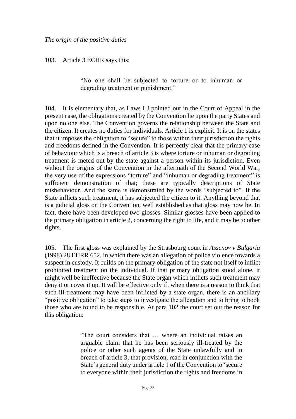103. Article 3 ECHR says this:

"No one shall be subjected to torture or to inhuman or degrading treatment or punishment."

104. It is elementary that, as Laws LJ pointed out in the Court of Appeal in the present case, the obligations created by the Convention lie upon the party States and upon no one else. The Convention governs the relationship between the State and the citizen. It creates no duties for individuals. Article 1 is explicit. It is on the states that it imposes the obligation to "secure" to those within their jurisdiction the rights and freedoms defined in the Convention. It is perfectly clear that the primary case of behaviour which is a breach of article 3 is where torture or inhuman or degrading treatment is meted out by the state against a person within its jurisdiction. Even without the origins of the Convention in the aftermath of the Second World War, the very use of the expressions "torture" and "inhuman or degrading treatment" is sufficient demonstration of that; these are typically descriptions of State misbehaviour. And the same is demonstrated by the words "subjected to". If the State inflicts such treatment, it has subjected the citizen to it. Anything beyond that is a judicial gloss on the Convention, well established as that gloss may now be. In fact, there have been developed two glosses. Similar glosses have been applied to the primary obligation in article 2, concerning the right to life, and it may be to other rights.

105. The first gloss was explained by the Strasbourg court in *Assenov v Bulgaria*  (1998) 28 EHRR 652, in which there was an allegation of police violence towards a suspect in custody. It builds on the primary obligation of the state not itself to inflict prohibited treatment on the individual. If that primary obligation stood alone, it might well be ineffective because the State organ which inflicts such treatment may deny it or cover it up. It will be effective only if, when there is a reason to think that such ill-treatment may have been inflicted by a state organ, there is an ancillary "positive obligation" to take steps to investigate the allegation and to bring to book those who are found to be responsible. At para 102 the court set out the reason for this obligation:

> "The court considers that … where an individual raises an arguable claim that he has been seriously ill-treated by the police or other such agents of the State unlawfully and in breach of article 3, that provision, read in conjunction with the State's general duty under article 1 of the Convention to 'secure to everyone within their jurisdiction the rights and freedoms in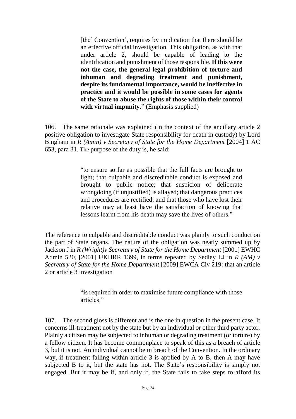[the] Convention', requires by implication that there should be an effective official investigation. This obligation, as with that under article 2, should be capable of leading to the identification and punishment of those responsible. **If this were not the case, the general legal prohibition of torture and inhuman and degrading treatment and punishment, despite its fundamental importance, would be ineffective in practice and it would be possible in some cases for agents of the State to abuse the rights of those within their control with virtual impunity**." (Emphasis supplied)

106. The same rationale was explained (in the context of the ancillary article 2 positive obligation to investigate State responsibility for death in custody) by Lord Bingham in *R (Amin) v Secretary of State for the Home Department* [2004] 1 AC 653, para 31. The purpose of the duty is, he said:

> "to ensure so far as possible that the full facts are brought to light; that culpable and discreditable conduct is exposed and brought to public notice; that suspicion of deliberate wrongdoing (if unjustified) is allayed; that dangerous practices and procedures are rectified; and that those who have lost their relative may at least have the satisfaction of knowing that lessons learnt from his death may save the lives of others."

The reference to culpable and discreditable conduct was plainly to such conduct on the part of State organs. The nature of the obligation was neatly summed up by Jackson J in *R (Wright)v Secretary of State for the Home Department* [2001] EWHC Admin 520, [2001] UKHRR 1399, in terms repeated by Sedley LJ in *R (AM) v Secretary of State for the Home Department* [2009] EWCA Civ 219: that an article 2 or article 3 investigation

> "is required in order to maximise future compliance with those articles<sup>"</sup>

107. The second gloss is different and is the one in question in the present case. It concerns ill-treatment not by the state but by an individual or other third party actor. Plainly a citizen may be subjected to inhuman or degrading treatment (or torture) by a fellow citizen. It has become commonplace to speak of this as a breach of article 3, but it is not. An individual cannot be in breach of the Convention. In the ordinary way, if treatment falling within article 3 is applied by A to B, then A may have subjected B to it, but the state has not. The State's responsibility is simply not engaged. But it may be if, and only if, the State fails to take steps to afford its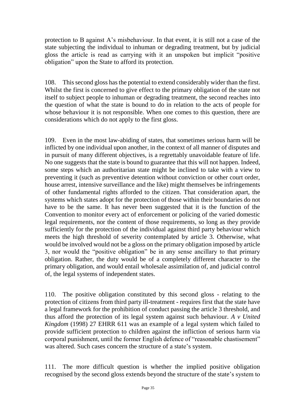protection to B against A's misbehaviour. In that event, it is still not a case of the state subjecting the individual to inhuman or degrading treatment, but by judicial gloss the article is read as carrying with it an unspoken but implicit "positive obligation" upon the State to afford its protection.

108. This second gloss has the potential to extend considerably wider than the first. Whilst the first is concerned to give effect to the primary obligation of the state not itself to subject people to inhuman or degrading treatment, the second reaches into the question of what the state is bound to do in relation to the acts of people for whose behaviour it is not responsible. When one comes to this question, there are considerations which do not apply to the first gloss.

109. Even in the most law-abiding of states, that sometimes serious harm will be inflicted by one individual upon another, in the context of all manner of disputes and in pursuit of many different objectives, is a regrettably unavoidable feature of life. No one suggests that the state is bound to guarantee that this will not happen. Indeed, some steps which an authoritarian state might be inclined to take with a view to preventing it (such as preventive detention without conviction or other court order, house arrest, intensive surveillance and the like) might themselves be infringements of other fundamental rights afforded to the citizen. That consideration apart, the systems which states adopt for the protection of those within their boundaries do not have to be the same. It has never been suggested that it is the function of the Convention to monitor every act of enforcement or policing of the varied domestic legal requirements, nor the content of those requirements, so long as they provide sufficiently for the protection of the individual against third party behaviour which meets the high threshold of severity contemplated by article 3. Otherwise, what would be involved would not be a gloss on the primary obligation imposed by article 3, nor would the "positive obligation" be in any sense ancillary to that primary obligation. Rather, the duty would be of a completely different character to the primary obligation, and would entail wholesale assimilation of, and judicial control of, the legal systems of independent states.

110. The positive obligation constituted by this second gloss - relating to the protection of citizens from third party ill-treatment - requires first that the state have a legal framework for the prohibition of conduct passing the article 3 threshold, and thus afford the protection of its legal system against such behaviour. *A v United Kingdom* (1998) 27 EHRR 611 was an example of a legal system which failed to provide sufficient protection to children against the infliction of serious harm via corporal punishment, until the former English defence of "reasonable chastisement" was altered. Such cases concern the structure of a state's system.

111. The more difficult question is whether the implied positive obligation recognised by the second gloss extends beyond the structure of the state's system to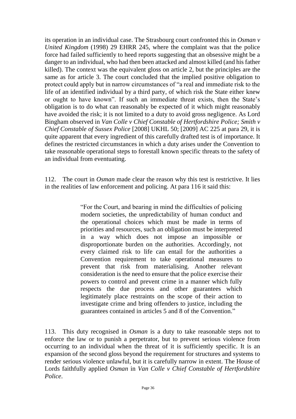its operation in an individual case. The Strasbourg court confronted this in *Osman v United Kingdom* (1998) 29 EHRR 245, where the complaint was that the police force had failed sufficiently to heed reports suggesting that an obsessive might be a danger to an individual, who had then been attacked and almost killed (and his father killed). The context was the equivalent gloss on article 2, but the principles are the same as for article 3. The court concluded that the implied positive obligation to protect could apply but in narrow circumstances of "a real and immediate risk to the life of an identified individual by a third party, of which risk the State either knew or ought to have known". If such an immediate threat exists, then the State's obligation is to do what can reasonably be expected of it which might reasonably have avoided the risk; it is not limited to a duty to avoid gross negligence. As Lord Bingham observed in *Van Colle v Chief Constable of Hertfordshire Police; Smith v Chief Constable of Sussex Police* [2008] UKHL 50; [2009] AC 225 at para 29, it is quite apparent that every ingredient of this carefully drafted test is of importance. It defines the restricted circumstances in which a duty arises under the Convention to take reasonable operational steps to forestall known specific threats to the safety of an individual from eventuating.

112. The court in *Osman* made clear the reason why this test is restrictive. It lies in the realities of law enforcement and policing. At para 116 it said this:

> "For the Court, and bearing in mind the difficulties of policing modern societies, the unpredictability of human conduct and the operational choices which must be made in terms of priorities and resources, such an obligation must be interpreted in a way which does not impose an impossible or disproportionate burden on the authorities. Accordingly, not every claimed risk to life can entail for the authorities a Convention requirement to take operational measures to prevent that risk from materialising. Another relevant consideration is the need to ensure that the police exercise their powers to control and prevent crime in a manner which fully respects the due process and other guarantees which legitimately place restraints on the scope of their action to investigate crime and bring offenders to justice, including the guarantees contained in articles 5 and 8 of the Convention."

113. This duty recognised in *Osman* is a duty to take reasonable steps not to enforce the law or to punish a perpetrator, but to prevent serious violence from occurring to an individual when the threat of it is sufficiently specific. It is an expansion of the second gloss beyond the requirement for structures and systems to render serious violence unlawful, but it is carefully narrow in extent. The House of Lords faithfully applied *Osman* in *Van Colle v Chief Constable of Hertfordshire Police*.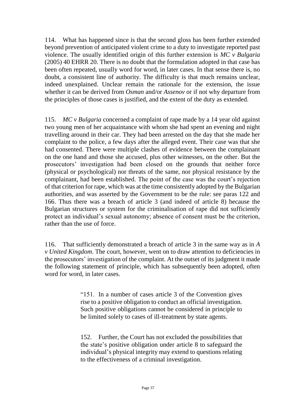114. What has happened since is that the second gloss has been further extended beyond prevention of anticipated violent crime to a duty to investigate reported past violence. The usually identified origin of this further extension is *MC v Bulgaria* (2005) 40 EHRR 20. There is no doubt that the formulation adopted in that case has been often repeated, usually word for word, in later cases. In that sense there is, no doubt, a consistent line of authority. The difficulty is that much remains unclear, indeed unexplained. Unclear remain the rationale for the extension, the issue whether it can be derived from *Osman* and/or *Assenov* or if not why departure from the principles of those cases is justified, and the extent of the duty as extended.

115. *MC v Bulgaria* concerned a complaint of rape made by a 14 year old against two young men of her acquaintance with whom she had spent an evening and night travelling around in their car. They had been arrested on the day that she made her complaint to the police, a few days after the alleged event. Their case was that she had consented. There were multiple clashes of evidence between the complainant on the one hand and those she accused, plus other witnesses, on the other. But the prosecutors' investigation had been closed on the grounds that neither force (physical or psychological) nor threats of the same, nor physical resistance by the complainant, had been established. The point of the case was the court's rejection of that criterion for rape, which was at the time consistently adopted by the Bulgarian authorities, and was asserted by the Government to be the rule: see paras 122 and 166. Thus there was a breach of article 3 (and indeed of article 8) because the Bulgarian structures or system for the criminalisation of rape did not sufficiently protect an individual's sexual autonomy; absence of consent must be the criterion, rather than the use of force.

116. That sufficiently demonstrated a breach of article 3 in the same way as in *A v United Kingdom*. The court, however, went on to draw attention to deficiencies in the prosecutors' investigation of the complaint. At the outset of its judgment it made the following statement of principle, which has subsequently been adopted, often word for word, in later cases.

> "151. In a number of cases article 3 of the Convention gives rise to a positive obligation to conduct an official investigation. Such positive obligations cannot be considered in principle to be limited solely to cases of ill-treatment by state agents.

> 152. Further, the Court has not excluded the possibilities that the state's positive obligation under article 8 to safeguard the individual's physical integrity may extend to questions relating to the effectiveness of a criminal investigation.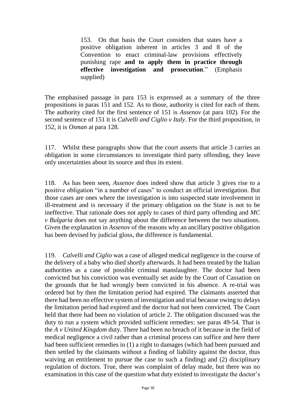153. On that basis the Court considers that states have a positive obligation inherent in articles 3 and 8 of the Convention to enact criminal-law provisions effectively punishing rape **and to apply them in practice through effective investigation and prosecution**." (Emphasis supplied)

The emphasised passage in para 153 is expressed as a summary of the three propositions in paras 151 and 152. As to those, authority is cited for each of them. The authority cited for the first sentence of 151 is *Assenov* (at para 102). For the second sentence of 151 it is *Calvelli and Ciglio v Italy*. For the third proposition, in 152, it is *Osman* at para 128.

117. Whilst these paragraphs show that the court asserts that article 3 carries an obligation in some circumstances to investigate third party offending, they leave only uncertainties about its source and thus its extent.

118. As has been seen, *Assenov* does indeed show that article 3 gives rise to a positive obligation "in a number of cases" to conduct an official investigation. But those cases are ones where the investigation is into suspected state involvement in ill-treatment and is necessary if the primary obligation on the State is not to be ineffective. That rationale does not apply to cases of third party offending and *MC v Bulgaria* does not say anything about the difference between the two situations. Given the explanation in *Assenov* of the reasons why an ancillary positive obligation has been devised by judicial gloss, the difference is fundamental.

119. *Calvelli and Ciglio* was a case of alleged medical negligence in the course of the delivery of a baby who died shortly afterwards. It had been treated by the Italian authorities as a case of possible criminal manslaughter. The doctor had been convicted but his conviction was eventually set aside by the Court of Cassation on the grounds that he had wrongly been convicted in his absence. A re-trial was ordered but by then the limitation period had expired. The claimants asserted that there had been no effective system of investigation and trial because owing to delays the limitation period had expired and the doctor had not been convicted. The Court held that there had been no violation of article 2. The obligation discussed was the duty to run a system which provided sufficient remedies: see paras 49-54. That is the *A v United Kingdom* duty. There had been no breach of it because in the field of medical negligence a civil rather than a criminal process can suffice and here there had been sufficient remedies in (1) a right to damages (which had been pursued and then settled by the claimants without a finding of liability against the doctor, thus waiving an entitlement to pursue the case to such a finding) and (2) disciplinary regulation of doctors. True, there was complaint of delay made, but there was no examination in this case of the question what duty existed to investigate the doctor's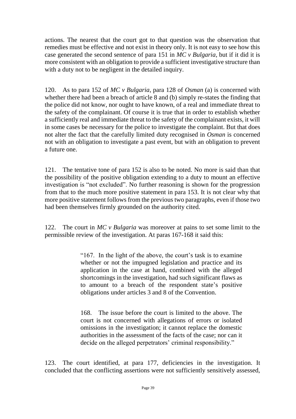actions. The nearest that the court got to that question was the observation that remedies must be effective and not exist in theory only. It is not easy to see how this case generated the second sentence of para 151 in *MC v Bulgaria*, but if it did it is more consistent with an obligation to provide a sufficient investigative structure than with a duty not to be negligent in the detailed inquiry.

120. As to para 152 of *MC v Bulgaria*, para 128 of *Osman* (a) is concerned with whether there had been a breach of article 8 and (b) simply re-states the finding that the police did not know, nor ought to have known, of a real and immediate threat to the safety of the complainant. Of course it is true that in order to establish whether a sufficiently real and immediate threat to the safety of the complainant exists, it will in some cases be necessary for the police to investigate the complaint. But that does not alter the fact that the carefully limited duty recognised in *Osman* is concerned not with an obligation to investigate a past event, but with an obligation to prevent a future one.

121. The tentative tone of para 152 is also to be noted. No more is said than that the possibility of the positive obligation extending to a duty to mount an effective investigation is "not excluded". No further reasoning is shown for the progression from that to the much more positive statement in para 153. It is not clear why that more positive statement follows from the previous two paragraphs, even if those two had been themselves firmly grounded on the authority cited.

122. The court in *MC v Bulgaria* was moreover at pains to set some limit to the permissible review of the investigation. At paras 167-168 it said this:

> "167. In the light of the above, the court's task is to examine whether or not the impugned legislation and practice and its application in the case at hand, combined with the alleged shortcomings in the investigation, had such significant flaws as to amount to a breach of the respondent state's positive obligations under articles 3 and 8 of the Convention.

> 168. The issue before the court is limited to the above. The court is not concerned with allegations of errors or isolated omissions in the investigation; it cannot replace the domestic authorities in the assessment of the facts of the case; nor can it decide on the alleged perpetrators' criminal responsibility."

123. The court identified, at para 177, deficiencies in the investigation. It concluded that the conflicting assertions were not sufficiently sensitively assessed,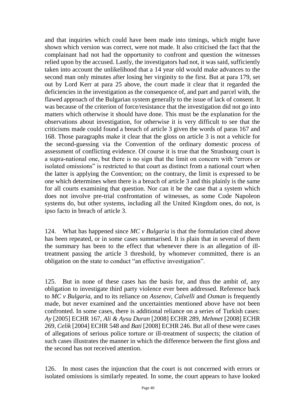and that inquiries which could have been made into timings, which might have shown which version was correct, were not made. It also criticised the fact that the complainant had not had the opportunity to confront and question the witnesses relied upon by the accused. Lastly, the investigators had not, it was said, sufficiently taken into account the unlikelihood that a 14 year old would make advances to the second man only minutes after losing her virginity to the first. But at para 179, set out by Lord Kerr at para 25 above, the court made it clear that it regarded the deficiencies in the investigation as the consequence of, and part and parcel with, the flawed approach of the Bulgarian system generally to the issue of lack of consent. It was because of the criterion of force/resistance that the investigation did not go into matters which otherwise it should have done. This must be the explanation for the observations about investigation, for otherwise it is very difficult to see that the criticisms made could found a breach of article 3 given the words of paras 167 and 168. Those paragraphs make it clear that the gloss on article 3 is not a vehicle for the second-guessing via the Convention of the ordinary domestic process of assessment of conflicting evidence. Of course it is true that the Strasbourg court is a supra-national one, but there is no sign that the limit on concern with "errors or isolated omissions" is restricted to that court as distinct from a national court when the latter is applying the Convention; on the contrary, the limit is expressed to be one which determines when there is a breach of article 3 and this plainly is the same for all courts examining that question. Nor can it be the case that a system which does not involve pre-trial confrontation of witnesses, as some Code Napoleon systems do, but other systems, including all the United Kingdom ones, do not, is ipso facto in breach of article 3.

124. What has happened since *MC v Bulgaria* is that the formulation cited above has been repeated, or in some cases summarised. It is plain that in several of them the summary has been to the effect that whenever there is an allegation of illtreatment passing the article 3 threshold, by whomever committed, there is an obligation on the state to conduct "an effective investigation".

125. But in none of these cases has the basis for, and thus the ambit of, any obligation to investigate third party violence ever been addressed. Reference back to *MC v Bulgaria*, and to its reliance on *Assenov, Calvelli* and *Osman* is frequently made, but never examined and the uncertainties mentioned above have not been confronted. In some cases, there is additional reliance on a series of Turkish cases: *Ay* [2005] ECHR 167, *Ali & Aysu Duran* [2008] ECHR 289, *Mehmet* [2008] ECHR 269, *Celik* [2004] ECHR 548 and *Bati* [2008] ECHR 246. But all of these were cases of allegations of serious police torture or ill-treatment of suspects; the citation of such cases illustrates the manner in which the difference between the first gloss and the second has not received attention.

126. In most cases the injunction that the court is not concerned with errors or isolated omissions is similarly repeated. In some, the court appears to have looked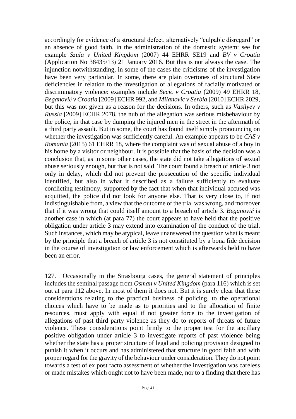accordingly for evidence of a structural defect, alternatively "culpable disregard" or an absence of good faith, in the administration of the domestic system: see for example *Szula v United Kingdom* (2007) 44 EHRR SE19 and *BV v Croatia*  (Application No 38435/13) 21 January 2016. But this is not always the case. The injunction notwithstanding, in some of the cases the criticisms of the investigation have been very particular. In some, there are plain overtones of structural State deficiencies in relation to the investigation of allegations of racially motivated or discriminatory violence: examples include *Secic v Croatia* (2009) 49 EHRR 18, *Beganović v Croatia* [2009] ECHR 992*,* and *Milanovic v Serbia* [2010] ECHR 2029, but this was not given as a reason for the decisions. In others, such as *Vasilyev v Russia* [2009] ECHR 2078, the nub of the allegation was serious misbehaviour by the police, in that case by dumping the injured men in the street in the aftermath of a third party assault. But in some, the court has found itself simply pronouncing on whether the investigation was sufficiently careful. An example appears to be *CAS v Romania* (2015) 61 EHRR 18, where the complaint was of sexual abuse of a boy in his home by a visitor or neighbour. It is possible that the basis of the decision was a conclusion that, as in some other cases, the state did not take allegations of sexual abuse seriously enough, but that is not said. The court found a breach of article 3 not only in delay, which did not prevent the prosecution of the specific individual identified, but also in what it described as a failure sufficiently to evaluate conflicting testimony, supported by the fact that when that individual accused was acquitted, the police did not look for anyone else. That is very close to, if not indistinguishable from, a view that the outcome of the trial was wrong, and moreover that if it was wrong that could itself amount to a breach of article 3. *Beganović* is another case in which (at para 77) the court appears to have held that the positive obligation under article 3 may extend into examination of the conduct of the trial. Such instances, which may be atypical, leave unanswered the question what is meant by the principle that a breach of article 3 is not constituted by a bona fide decision in the course of investigation or law enforcement which is afterwards held to have been an error.

127. Occasionally in the Strasbourg cases, the general statement of principles includes the seminal passage from *Osman v United Kingdom* (para 116) which is set out at para 112 above. In most of them it does not. But it is surely clear that these considerations relating to the practical business of policing, to the operational choices which have to be made as to priorities and to the allocation of finite resources, must apply with equal if not greater force to the investigation of allegations of past third party violence as they do to reports of threats of future violence. These considerations point firmly to the proper test for the ancillary positive obligation under article 3 to investigate reports of past violence being whether the state has a proper structure of legal and policing provision designed to punish it when it occurs and has administered that structure in good faith and with proper regard for the gravity of the behaviour under consideration. They do not point towards a test of ex post facto assessment of whether the investigation was careless or made mistakes which ought not to have been made, nor to a finding that there has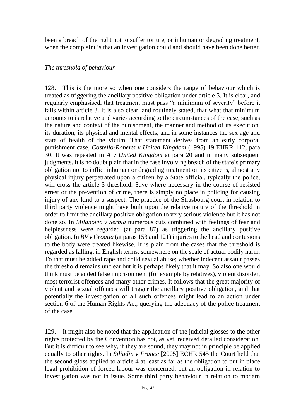been a breach of the right not to suffer torture, or inhuman or degrading treatment, when the complaint is that an investigation could and should have been done better.

#### *The threshold of behaviour*

128. This is the more so when one considers the range of behaviour which is treated as triggering the ancillary positive obligation under article 3. It is clear, and regularly emphasised, that treatment must pass "a minimum of severity" before it falls within article 3. It is also clear, and routinely stated, that what that minimum amounts to is relative and varies according to the circumstances of the case, such as the nature and context of the punishment, the manner and method of its execution, its duration, its physical and mental effects, and in some instances the sex age and state of health of the victim. That statement derives from an early corporal punishment case, *Costello-Roberts v United Kingdom* (1995) 19 EHRR 112, para 30. It was repeated in *A v United Kingdom* at para 20 and in many subsequent judgments. It is no doubt plain that in the case involving breach of the state's primary obligation not to inflict inhuman or degrading treatment on its citizens, almost any physical injury perpetrated upon a citizen by a State official, typically the police, will cross the article 3 threshold. Save where necessary in the course of resisted arrest or the prevention of crime, there is simply no place in policing for causing injury of any kind to a suspect. The practice of the Strasbourg court in relation to third party violence might have built upon the relative nature of the threshold in order to limit the ancillary positive obligation to very serious violence but it has not done so. In *Milanovic v Serbia* numerous cuts combined with feelings of fear and helplessness were regarded (at para 87) as triggering the ancillary positive obligation. In *BV v Croatia* (at paras 153 and 121) injuries to the head and contusions to the body were treated likewise. It is plain from the cases that the threshold is regarded as falling, in English terms, somewhere on the scale of actual bodily harm. To that must be added rape and child sexual abuse; whether indecent assault passes the threshold remains unclear but it is perhaps likely that it may. So also one would think must be added false imprisonment (for example by relatives), violent disorder, most terrorist offences and many other crimes. It follows that the great majority of violent and sexual offences will trigger the ancillary positive obligation, and that potentially the investigation of all such offences might lead to an action under section 6 of the Human Rights Act, querying the adequacy of the police treatment of the case.

129. It might also be noted that the application of the judicial glosses to the other rights protected by the Convention has not, as yet, received detailed consideration. But it is difficult to see why, if they are sound, they may not in principle be applied equally to other rights. In *Siliadin v France* [2005] ECHR 545 the Court held that the second gloss applied to article 4 at least as far as the obligation to put in place legal prohibition of forced labour was concerned, but an obligation in relation to investigation was not in issue. Some third party behaviour in relation to modern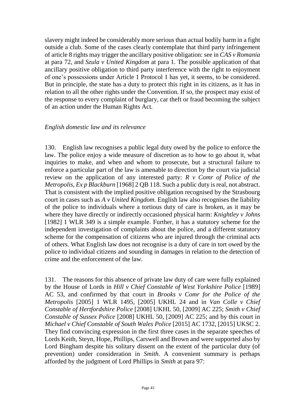slavery might indeed be considerably more serious than actual bodily harm in a fight outside a club. Some of the cases clearly contemplate that third party infringement of article 8 rights may trigger the ancillary positive obligation: see in *CAS v Romania* at para 72*,* and *Szula v United Kingdom* at para 1. The possible application of that ancillary positive obligation to third party interference with the right to enjoyment of one's possessions under Article 1 Protocol 1 has yet, it seems, to be considered. But in principle, the state has a duty to protect this right in its citizens, as it has in relation to all the other rights under the Convention. If so, the prospect may exist of the response to every complaint of burglary, car theft or fraud becoming the subject of an action under the Human Rights Act.

#### *English domestic law and its relevance*

130. English law recognises a public legal duty owed by the police to enforce the law. The police enjoy a wide measure of discretion as to how to go about it, what inquiries to make, and when and whom to prosecute, but a structural failure to enforce a particular part of the law is amenable to direction by the court via judicial review on the application of any interested party: *R v Comr of Police of the Metropolis, Ex p Blackburn* [1968] 2 QB 118. Such a public duty is real, not abstract. That is consistent with the implied positive obligation recognised by the Strasbourg court in cases such as *A v United Kingdom.* English law also recognises the liability of the police to individuals where a tortious duty of care is broken, as it may be where they have directly or indirectly occasioned physical harm: *Knightley v Johns*  [1982] 1 WLR 349 is a simple example. Further, it has a statutory scheme for the independent investigation of complaints about the police, and a different statutory scheme for the compensation of citizens who are injured through the criminal acts of others. What English law does not recognise is a duty of care in tort owed by the police to individual citizens and sounding in damages in relation to the detection of crime and the enforcement of the law.

131. The reasons for this absence of private law duty of care were fully explained by the House of Lords in *Hill v Chief Constable of West Yorkshire Police* [1989] AC 53, and confirmed by that court in *Brooks v Comr for the Police of the Metropolis* [2005] 1 WLR 1495, [2005] UKHL 24 and in *Van Colle v Chief Constable of Hertfordshire Police* [2008] UKHL 50, [2009] AC 225; *Smith v Chief Constable of Sussex Police* [2008] UKHL 50, [2009] AC 225; and by this court in *Michael v Chief Constable of South Wales Police* [2015] AC 1732, [2015] UKSC 2. They find convincing expression in the first three cases in the separate speeches of Lords Keith, Steyn, Hope, Phillips, Carswell and Brown and were supported also by Lord Bingham despite his solitary dissent on the extent of the particular duty (of prevention) under consideration in *Smith*. A convenient summary is perhaps afforded by the judgment of Lord Phillips in *Smith* at para 97: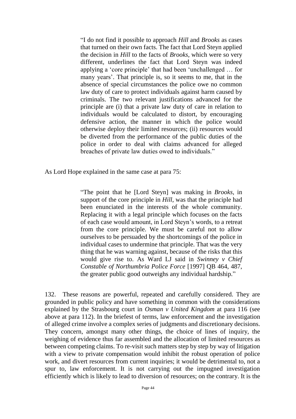"I do not find it possible to approach *Hill* and *Brooks* as cases that turned on their own facts. The fact that Lord Steyn applied the decision in *Hill* to the facts of *Brooks,* which were so very different, underlines the fact that Lord Steyn was indeed applying a 'core principle' that had been 'unchallenged … for many years'. That principle is, so it seems to me, that in the absence of special circumstances the police owe no common law duty of care to protect individuals against harm caused by criminals. The two relevant justifications advanced for the principle are (i) that a private law duty of care in relation to individuals would be calculated to distort, by encouraging defensive action, the manner in which the police would otherwise deploy their limited resources; (ii) resources would be diverted from the performance of the public duties of the police in order to deal with claims advanced for alleged breaches of private law duties owed to individuals."

As Lord Hope explained in the same case at para 75:

"The point that he [Lord Steyn] was making in *Brooks*, in support of the core principle in *Hill*, was that the principle had been enunciated in the interests of the whole community. Replacing it with a legal principle which focuses on the facts of each case would amount, in Lord Steyn's words, to a retreat from the core principle. We must be careful not to allow ourselves to be persuaded by the shortcomings of the police in individual cases to undermine that principle. That was the very thing that he was warning against, because of the risks that this would give rise to. As Ward LJ said in *Swinney v Chief Constable of Northumbria Police Force* [1997] QB 464, 487, the greater public good outweighs any individual hardship."

132. These reasons are powerful, repeated and carefully considered. They are grounded in public policy and have something in common with the considerations explained by the Strasbourg court in *Osman v United Kingdom* at para 116 (see above at para 112). In the briefest of terms, law enforcement and the investigation of alleged crime involve a complex series of judgments and discretionary decisions. They concern, amongst many other things, the choice of lines of inquiry, the weighing of evidence thus far assembled and the allocation of limited resources as between competing claims. To re-visit such matters step by step by way of litigation with a view to private compensation would inhibit the robust operation of police work, and divert resources from current inquiries; it would be detrimental to, not a spur to, law enforcement. It is not carrying out the impugned investigation efficiently which is likely to lead to diversion of resources; on the contrary. It is the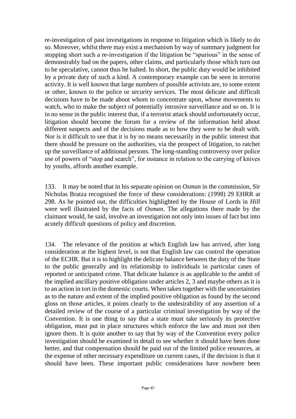re-investigation of past investigations in response to litigation which is likely to do so. Moreover, whilst there may exist a mechanism by way of summary judgment for stopping short such a re-investigation if the litigation be "spurious" in the sense of demonstrably bad on the papers, other claims, and particularly those which turn out to be speculative, cannot thus be halted. In short, the public duty would be inhibited by a private duty of such a kind. A contemporary example can be seen in terrorist activity. It is well known that large numbers of possible activists are, to some extent or other, known to the police or security services. The most delicate and difficult decisions have to be made about whom to concentrate upon, whose movements to watch, who to make the subject of potentially intrusive surveillance and so on. It is in no sense in the public interest that, if a terrorist attack should unfortunately occur, litigation should become the forum for a review of the information held about different suspects and of the decisions made as to how they were to be dealt with. Nor is it difficult to see that it is by no means necessarily in the public interest that there should be pressure on the authorities, via the prospect of litigation, to ratchet up the surveillance of additional persons. The long-standing controversy over police use of powers of "stop and search", for instance in relation to the carrying of knives by youths, affords another example.

133. It may be noted that in his separate opinion on *Osman* in the commission, Sir Nicholas Bratza recognised the force of these considerations: (1998) 29 EHRR at 298. As he pointed out, the difficulties highlighted by the House of Lords in *Hill* were well illustrated by the facts of *Osman*. The allegations there made by the claimant would, he said, involve an investigation not only into issues of fact but into acutely difficult questions of policy and discretion.

134. The relevance of the position at which English law has arrived, after long consideration at the highest level, is not that English law can control the operation of the ECHR. But it is to highlight the delicate balance between the duty of the State to the public generally and its relationship to individuals in particular cases of reported or anticipated crime. That delicate balance is as applicable to the ambit of the implied ancillary positive obligation under articles 2, 3 and maybe others as it is to an action in tort in the domestic courts. When taken together with the uncertainties as to the nature and extent of the implied positive obligation as found by the second gloss on those articles, it points clearly to the undesirability of any assertion of a detailed review of the course of a particular criminal investigation by way of the Convention. It is one thing to say that a state must take seriously its protective obligation, must put in place structures which enforce the law and must not then ignore them. It is quite another to say that by way of the Convention every police investigation should be examined in detail to see whether it should have been done better, and that compensation should be paid out of the limited police resources, at the expense of other necessary expenditure on current cases, if the decision is that it should have been. These important public considerations have nowhere been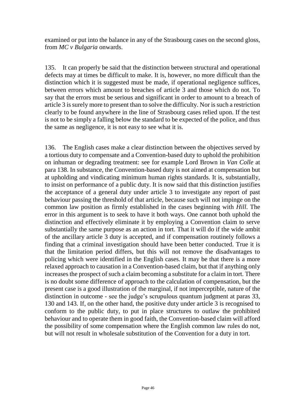examined or put into the balance in any of the Strasbourg cases on the second gloss, from *MC v Bulgaria* onwards.

135. It can properly be said that the distinction between structural and operational defects may at times be difficult to make. It is, however, no more difficult than the distinction which it is suggested must be made, if operational negligence suffices, between errors which amount to breaches of article 3 and those which do not. To say that the errors must be serious and significant in order to amount to a breach of article 3 is surely more to present than to solve the difficulty. Nor is such a restriction clearly to be found anywhere in the line of Strasbourg cases relied upon. If the test is not to be simply a falling below the standard to be expected of the police, and thus the same as negligence, it is not easy to see what it is.

136. The English cases make a clear distinction between the objectives served by a tortious duty to compensate and a Convention-based duty to uphold the prohibition on inhuman or degrading treatment: see for example Lord Brown in *Van Colle* at para 138. In substance, the Convention-based duty is not aimed at compensation but at upholding and vindicating minimum human rights standards. It is, substantially, to insist on performance of a public duty. It is now said that this distinction justifies the acceptance of a general duty under article 3 to investigate any report of past behaviour passing the threshold of that article, because such will not impinge on the common law position as firmly established in the cases beginning with *Hill*. The error in this argument is to seek to have it both ways. One cannot both uphold the distinction and effectively eliminate it by employing a Convention claim to serve substantially the same purpose as an action in tort. That it will do if the wide ambit of the ancillary article 3 duty is accepted, and if compensation routinely follows a finding that a criminal investigation should have been better conducted. True it is that the limitation period differs, but this will not remove the disadvantages to policing which were identified in the English cases. It may be that there is a more relaxed approach to causation in a Convention-based claim, but that if anything only increases the prospect of such a claim becoming a substitute for a claim in tort. There is no doubt some difference of approach to the calculation of compensation, but the present case is a good illustration of the marginal, if not imperceptible, nature of the distinction in outcome - see the judge's scrupulous quantum judgment at paras 33, 130 and 143. If, on the other hand, the positive duty under article 3 is recognised to conform to the public duty, to put in place structures to outlaw the prohibited behaviour and to operate them in good faith, the Convention-based claim will afford the possibility of some compensation where the English common law rules do not, but will not result in wholesale substitution of the Convention for a duty in tort.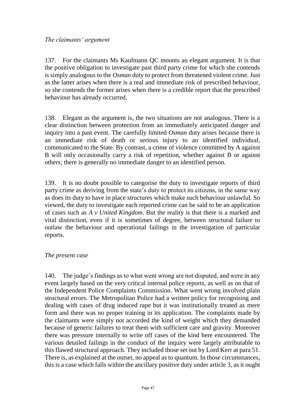#### *The claimants' argument*

137. For the claimants Ms Kaufmann QC mounts an elegant argument. It is that the positive obligation to investigate past third party crime for which she contends is simply analogous to the *Osman* duty to protect from threatened violent crime. Just as the latter arises when there is a real and immediate risk of prescribed behaviour, so she contends the former arises when there is a credible report that the prescribed behaviour has already occurred.

138. Elegant as the argument is, the two situations are not analogous. There is a clear distinction between protection from an immediately anticipated danger and inquiry into a past event. The carefully limited *Osman* duty arises because there is an immediate risk of death or serious injury to an identified individual, communicated to the State. By contrast, a crime of violence committed by A against B will only occasionally carry a risk of repetition, whether against B or against others; there is generally no immediate danger to an identified person.

139. It is no doubt possible to categorise the duty to investigate reports of third party crime as deriving from the state's duty to protect its citizens, in the same way as does its duty to have in place structures which make such behaviour unlawful. So viewed, the duty to investigate each reported crime can be said to be an application of cases such as *A v United Kingdom*. But the reality is that there is a marked and vital distinction, even if it is sometimes of degree, between structural failure to outlaw the behaviour and operational failings in the investigation of particular reports.

#### *The present case*

140. The judge's findings as to what went wrong are not disputed, and were in any event largely based on the very critical internal police reports, as well as on that of the Independent Police Complaints Commission. What went wrong involved plain structural errors. The Metropolitan Police had a written policy for recognising and dealing with cases of drug induced rape but it was institutionally treated as mere form and there was no proper training in its application. The complaints made by the claimants were simply not accorded the kind of weight which they demanded because of generic failures to treat them with sufficient care and gravity. Moreover there was pressure internally to write off cases of the kind here encountered. The various detailed failings in the conduct of the inquiry were largely attributable to this flawed structural approach. They included those set out by Lord Kerr at para 51. There is, as explained at the outset, no appeal as to quantum. In those circumstances, this is a case which falls within the ancillary positive duty under article 3, as it ought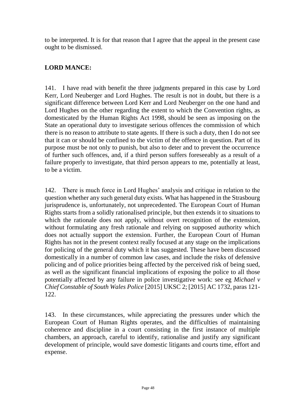to be interpreted. It is for that reason that I agree that the appeal in the present case ought to be dismissed.

# **LORD MANCE:**

141. I have read with benefit the three judgments prepared in this case by Lord Kerr, Lord Neuberger and Lord Hughes. The result is not in doubt, but there is a significant difference between Lord Kerr and Lord Neuberger on the one hand and Lord Hughes on the other regarding the extent to which the Convention rights, as domesticated by the Human Rights Act 1998, should be seen as imposing on the State an operational duty to investigate serious offences the commission of which there is no reason to attribute to state agents. If there is such a duty, then I do not see that it can or should be confined to the victim of the offence in question. Part of its purpose must be not only to punish, but also to deter and to prevent the occurrence of further such offences, and, if a third person suffers foreseeably as a result of a failure properly to investigate, that third person appears to me, potentially at least, to be a victim.

142. There is much force in Lord Hughes' analysis and critique in relation to the question whether any such general duty exists. What has happened in the Strasbourg jurisprudence is, unfortunately, not unprecedented. The European Court of Human Rights starts from a solidly rationalised principle, but then extends it to situations to which the rationale does not apply, without overt recognition of the extension, without formulating any fresh rationale and relying on supposed authority which does not actually support the extension. Further, the European Court of Human Rights has not in the present context really focused at any stage on the implications for policing of the general duty which it has suggested. These have been discussed domestically in a number of common law cases, and include the risks of defensive policing and of police priorities being affected by the perceived risk of being sued, as well as the significant financial implications of exposing the police to all those potentially affected by any failure in police investigative work: see eg *Michael v Chief Constable of South Wales Police* [2015] UKSC 2; [2015] AC 1732, paras 121- 122.

143. In these circumstances, while appreciating the pressures under which the European Court of Human Rights operates, and the difficulties of maintaining coherence and discipline in a court consisting in the first instance of multiple chambers, an approach, careful to identify, rationalise and justify any significant development of principle, would save domestic litigants and courts time, effort and expense.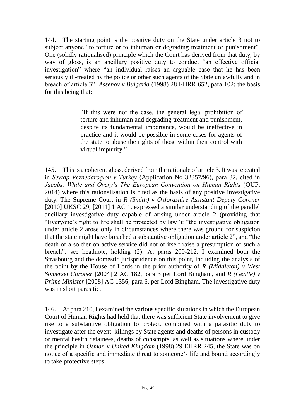144. The starting point is the positive duty on the State under article 3 not to subject anyone "to torture or to inhuman or degrading treatment or punishment". One (solidly rationalised) principle which the Court has derived from that duty, by way of gloss, is an ancillary positive duty to conduct "an effective official investigation" where "an individual raises an arguable case that he has been seriously ill-treated by the police or other such agents of the State unlawfully and in breach of article 3": *Assenov v Bulgaria* (1998) 28 EHRR 652, para 102; the basis for this being that:

> "If this were not the case, the general legal prohibition of torture and inhuman and degrading treatment and punishment, despite its fundamental importance, would be ineffective in practice and it would be possible in some cases for agents of the state to abuse the rights of those within their control with virtual impunity."

145. This is a coherent gloss, derived from the rationale of article 3. It was repeated in *Sevtap Veznedaroglou v Turkey* (Application No 32357/96), para 32, cited in *Jacobs, While and Overy's The European Convention on Human Rights* (OUP, 2014) where this rationalisation is cited as the basis of any positive investigative duty. The Supreme Court in *R (Smith) v Oxfordshire Assistant Deputy Coroner*  [2010] UKSC 29; [2011] 1 AC 1, expressed a similar understanding of the parallel ancillary investigative duty capable of arising under article 2 (providing that "Everyone's right to life shall be protected by law"): "the investigative obligation under article 2 arose only in circumstances where there was ground for suspicion that the state might have breached a substantive obligation under article 2", and "the death of a soldier on active service did not of itself raise a presumption of such a breach": see headnote, holding (2). At paras 200-212, I examined both the Strasbourg and the domestic jurisprudence on this point, including the analysis of the point by the House of Lords in the prior authority of *R (Middleton) v West Somerset Coroner* [2004] 2 AC 182, para 3 per Lord Bingham, and *R (Gentle) v Prime Minister* [2008] AC 1356, para 6, per Lord Bingham. The investigative duty was in short parasitic.

146. At para 210, I examined the various specific situations in which the European Court of Human Rights had held that there was sufficient State involvement to give rise to a substantive obligation to protect, combined with a parasitic duty to investigate after the event: killings by State agents and deaths of persons in custody or mental health detainees, deaths of conscripts, as well as situations where under the principle in *Osman v United Kingdom* (1998) 29 EHRR 245, the State was on notice of a specific and immediate threat to someone's life and bound accordingly to take protective steps.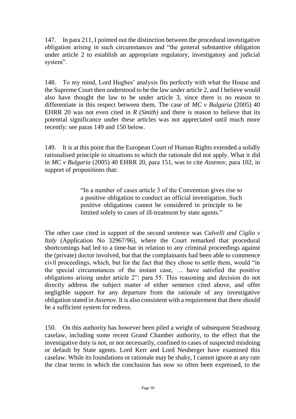147. In para 211, I pointed out the distinction between the procedural investigative obligation arising in such circumstances and "the general substantive obligation under article 2 to establish an appropriate regulatory, investigatory and judicial system".

148. To my mind, Lord Hughes' analysis fits perfectly with what the House and the Supreme Court then understood to be the law under article 2, and I believe would also have thought the law to be under article 3, since there is no reason to differentiate in this respect between them. The case of *MC v Bulgaria* (2005) 40 EHRR 20 was not even cited in *R (Smith)* and there is reason to believe that its potential significance under these articles was not appreciated until much more recently: see paras 149 and 150 below.

149. It is at this point that the European Court of Human Rights extended a solidly rationalised principle to situations to which the rationale did not apply. What it did in *MC v Bulgaria* (2005) 40 EHRR 20, para 151, was to cite *Assenov,* para 102, in support of propositions that:

> "In a number of cases article 3 of the Convention gives rise to a positive obligation to conduct an official investigation. Such positive obligations cannot be considered in principle to be limited solely to cases of ill-treatment by state agents."

The other case cited in support of the second sentence was *Calvelli and Ciglio v Italy* (Application No 32967/96), where the Court remarked that procedural shortcomings had led to a time-bar in relation to any criminal proceedings against the (private) doctor involved, but that the complainants had been able to commence civil proceedings, which, but for the fact that they chose to settle them, would "in the special circumstances of the instant case, … have satisfied the positive obligations arising under article 2": para 55. This reasoning and decision do not directly address the subject matter of either sentence cited above, and offer negligible support for any departure from the rationale of any investigative obligation stated in *Assenov*. It is also consistent with a requirement that there should be a sufficient system for redress.

150. On this authority has however been piled a weight of subsequent Strasbourg caselaw, including some recent Grand Chamber authority, to the effect that the investigative duty is not, or not necessarily, confined to cases of suspected misdoing or default by State agents. Lord Kerr and Lord Neuberger have examined this caselaw. While its foundations or rationale may be shaky, I cannot ignore at any rate the clear terms in which the conclusion has now so often been expressed, to the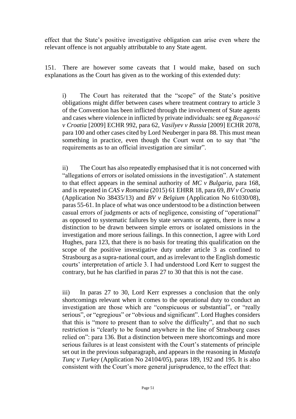effect that the State's positive investigative obligation can arise even where the relevant offence is not arguably attributable to any State agent.

151. There are however some caveats that I would make, based on such explanations as the Court has given as to the working of this extended duty:

i) The Court has reiterated that the "scope" of the State's positive obligations might differ between cases where treatment contrary to article 3 of the Convention has been inflicted through the involvement of State agents and cases where violence in inflicted by private individuals: see eg *Beganović v Croatia* [2009] ECHR 992, para 62, *Vasilyev v Russia* [2009] ECHR 2078, para 100 and other cases cited by Lord Neuberger in para 88. This must mean something in practice, even though the Court went on to say that "the requirements as to an official investigation are similar".

ii) The Court has also repeatedly emphasised that it is not concerned with "allegations of errors or isolated omissions in the investigation". A statement to that effect appears in the seminal authority of *MC v Bulgaria*, para 168, and is repeated in *CAS v Romania* (2015) 61 EHRR 18, para 69, *BV v Croatia*  (Application No 38435/13) and *BV v Belgium* (Application No 61030/08), paras 55-61. In place of what was once understood to be a distinction between casual errors of judgments or acts of negligence, consisting of "operational" as opposed to systematic failures by state servants or agents, there is now a distinction to be drawn between simple errors or isolated omissions in the investigation and more serious failings. In this connection, I agree with Lord Hughes, para 123, that there is no basis for treating this qualification on the scope of the positive investigative duty under article 3 as confined to Strasbourg as a supra-national court, and as irrelevant to the English domestic courts' interpretation of article 3. I had understood Lord Kerr to suggest the contrary, but he has clarified in paras 27 to 30 that this is not the case.

iii) In paras 27 to 30, Lord Kerr expresses a conclusion that the only shortcomings relevant when it comes to the operational duty to conduct an investigation are those which are "conspicuous or substantial", or "really serious", or "egregious" or "obvious and significant". Lord Hughes considers that this is "more to present than to solve the difficulty", and that no such restriction is "clearly to be found anywhere in the line of Strasbourg cases relied on": para 136. But a distinction between mere shortcomings and more serious failures is at least consistent with the Court's statements of principle set out in the previous subparagraph, and appears in the reasoning in *Mustafa Tunç v Turkey* (Application No 24104/05), paras 189, 192 and 195. It is also consistent with the Court's more general jurisprudence, to the effect that: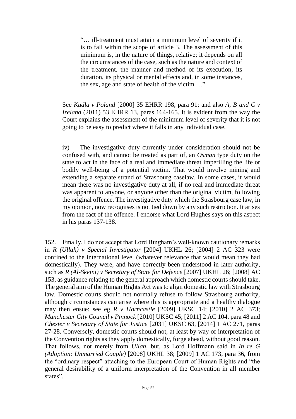"… ill-treatment must attain a minimum level of severity if it is to fall within the scope of article 3. The assessment of this minimum is, in the nature of things, relative; it depends on all the circumstances of the case, such as the nature and context of the treatment, the manner and method of its execution, its duration, its physical or mental effects and, in some instances, the sex, age and state of health of the victim …"

See *Kudla v Poland* [2000] 35 EHRR 198, para 91; and also *A, B and C v Ireland* (2011) 53 EHRR 13, paras 164-165. It is evident from the way the Court explains the assessment of the minimum level of severity that it is not going to be easy to predict where it falls in any individual case.

iv) The investigative duty currently under consideration should not be confused with, and cannot be treated as part of, an *Osman* type duty on the state to act in the face of a real and immediate threat imperilling the life or bodily well-being of a potential victim. That would involve mining and extending a separate strand of Strasbourg caselaw. In some cases, it would mean there was no investigative duty at all, if no real and immediate threat was apparent to anyone, or anyone other than the original victim, following the original offence. The investigative duty which the Strasbourg case law, in my opinion, now recognises is not tied down by any such restriction. It arises from the fact of the offence. I endorse what Lord Hughes says on this aspect in his paras 137-138.

152. Finally, I do not accept that Lord Bingham's well-known cautionary remarks in *R (Ullah) v Special Investigator* [2004] UKHL 26; [2004] 2 AC 323 were confined to the international level (whatever relevance that would mean they had domestically). They were, and have correctly been understood in later authority, such as *R (Al-Skeini) v Secretary of State for Defence* [2007] UKHL 26; [2008] AC 153, as guidance relating to the general approach which domestic courts should take. The general aim of the Human Rights Act was to align domestic law with Strasbourg law. Domestic courts should not normally refuse to follow Strasbourg authority, although circumstances can arise where this is appropriate and a healthy dialogue may then ensue: see eg *R v Horncastle* [2009] UKSC 14; [2010] 2 AC 373; *Manchester City Council v Pinnock* [2010] UKSC 45; [2011] 2 AC 104, para 48 and *Chester v Secretary of State for Justice* [2031] UKSC 63, [2014] 1 AC 271, paras 27-28. Conversely, domestic courts should not, at least by way of interpretation of the Convention rights as they apply domestically, forge ahead, without good reason. That follows, not merely from *Ullah*, but, as Lord Hoffmann said in *In re G (Adoption: Unmarried Couple)* [2008] UKHL 38; [2009] 1 AC 173, para 36, from the "ordinary respect" attaching to the European Court of Human Rights and "the general desirability of a uniform interpretation of the Convention in all member states".